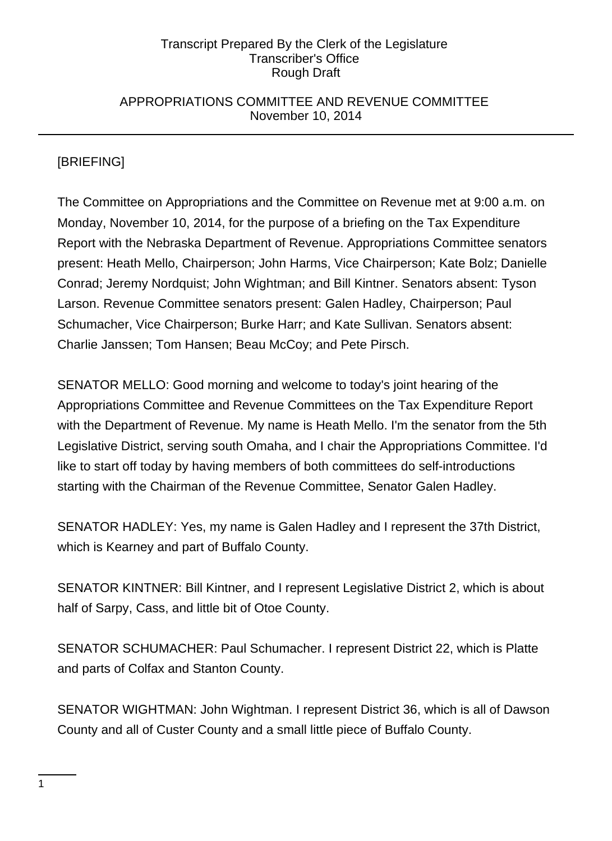## APPROPRIATIONS COMMITTEE AND REVENUE COMMITTEE November 10, 2014

# [BRIEFING]

The Committee on Appropriations and the Committee on Revenue met at 9:00 a.m. on Monday, November 10, 2014, for the purpose of a briefing on the Tax Expenditure Report with the Nebraska Department of Revenue. Appropriations Committee senators present: Heath Mello, Chairperson; John Harms, Vice Chairperson; Kate Bolz; Danielle Conrad; Jeremy Nordquist; John Wightman; and Bill Kintner. Senators absent: Tyson Larson. Revenue Committee senators present: Galen Hadley, Chairperson; Paul Schumacher, Vice Chairperson; Burke Harr; and Kate Sullivan. Senators absent: Charlie Janssen; Tom Hansen; Beau McCoy; and Pete Pirsch.

SENATOR MELLO: Good morning and welcome to today's joint hearing of the Appropriations Committee and Revenue Committees on the Tax Expenditure Report with the Department of Revenue. My name is Heath Mello. I'm the senator from the 5th Legislative District, serving south Omaha, and I chair the Appropriations Committee. I'd like to start off today by having members of both committees do self-introductions starting with the Chairman of the Revenue Committee, Senator Galen Hadley.

SENATOR HADLEY: Yes, my name is Galen Hadley and I represent the 37th District, which is Kearney and part of Buffalo County.

SENATOR KINTNER: Bill Kintner, and I represent Legislative District 2, which is about half of Sarpy, Cass, and little bit of Otoe County.

SENATOR SCHUMACHER: Paul Schumacher. I represent District 22, which is Platte and parts of Colfax and Stanton County.

SENATOR WIGHTMAN: John Wightman. I represent District 36, which is all of Dawson County and all of Custer County and a small little piece of Buffalo County.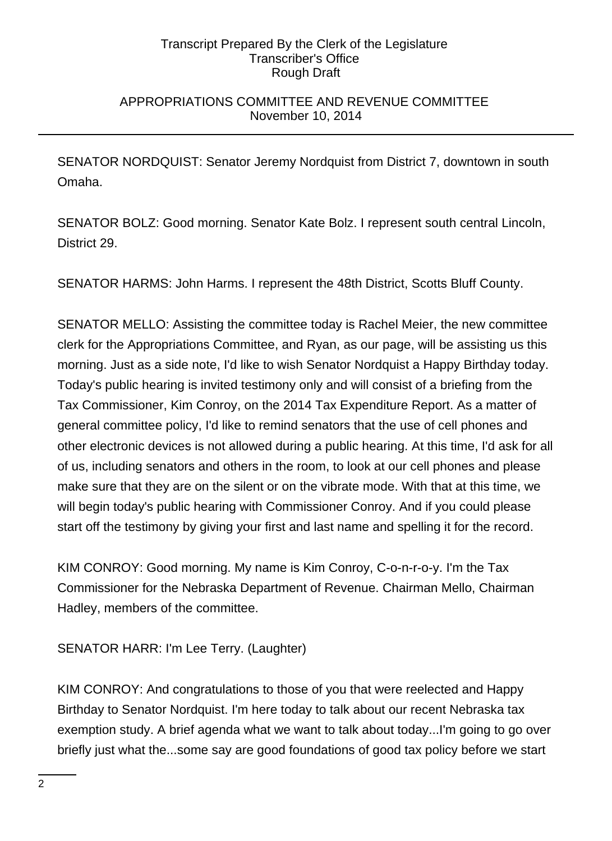## APPROPRIATIONS COMMITTEE AND REVENUE COMMITTEE November 10, 2014

SENATOR NORDQUIST: Senator Jeremy Nordquist from District 7, downtown in south Omaha.

SENATOR BOLZ: Good morning. Senator Kate Bolz. I represent south central Lincoln, District 29.

SENATOR HARMS: John Harms. I represent the 48th District, Scotts Bluff County.

SENATOR MELLO: Assisting the committee today is Rachel Meier, the new committee clerk for the Appropriations Committee, and Ryan, as our page, will be assisting us this morning. Just as a side note, I'd like to wish Senator Nordquist a Happy Birthday today. Today's public hearing is invited testimony only and will consist of a briefing from the Tax Commissioner, Kim Conroy, on the 2014 Tax Expenditure Report. As a matter of general committee policy, I'd like to remind senators that the use of cell phones and other electronic devices is not allowed during a public hearing. At this time, I'd ask for all of us, including senators and others in the room, to look at our cell phones and please make sure that they are on the silent or on the vibrate mode. With that at this time, we will begin today's public hearing with Commissioner Conroy. And if you could please start off the testimony by giving your first and last name and spelling it for the record.

KIM CONROY: Good morning. My name is Kim Conroy, C-o-n-r-o-y. I'm the Tax Commissioner for the Nebraska Department of Revenue. Chairman Mello, Chairman Hadley, members of the committee.

SENATOR HARR: I'm Lee Terry. (Laughter)

KIM CONROY: And congratulations to those of you that were reelected and Happy Birthday to Senator Nordquist. I'm here today to talk about our recent Nebraska tax exemption study. A brief agenda what we want to talk about today...I'm going to go over briefly just what the...some say are good foundations of good tax policy before we start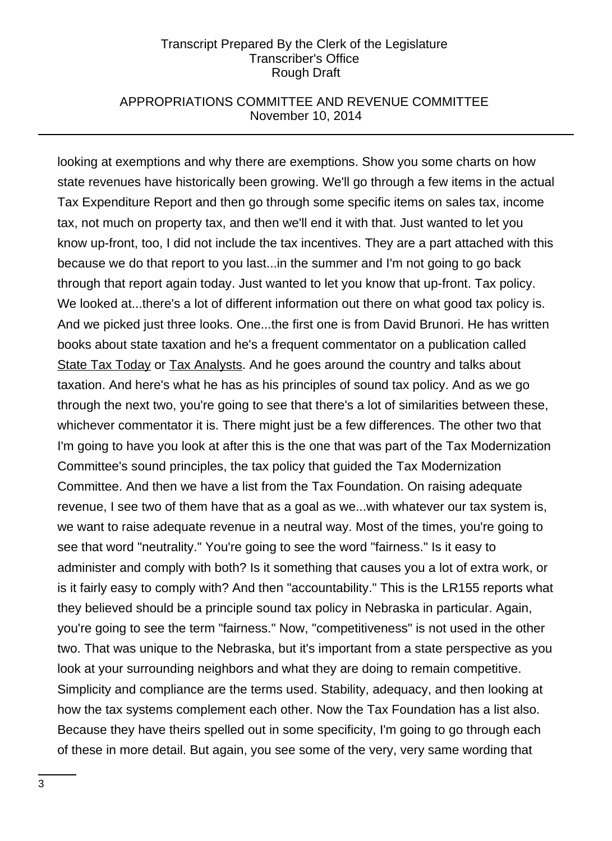## APPROPRIATIONS COMMITTEE AND REVENUE COMMITTEE November 10, 2014

looking at exemptions and why there are exemptions. Show you some charts on how state revenues have historically been growing. We'll go through a few items in the actual Tax Expenditure Report and then go through some specific items on sales tax, income tax, not much on property tax, and then we'll end it with that. Just wanted to let you know up-front, too, I did not include the tax incentives. They are a part attached with this because we do that report to you last...in the summer and I'm not going to go back through that report again today. Just wanted to let you know that up-front. Tax policy. We looked at...there's a lot of different information out there on what good tax policy is. And we picked just three looks. One...the first one is from David Brunori. He has written books about state taxation and he's a frequent commentator on a publication called State Tax Today or Tax Analysts. And he goes around the country and talks about taxation. And here's what he has as his principles of sound tax policy. And as we go through the next two, you're going to see that there's a lot of similarities between these, whichever commentator it is. There might just be a few differences. The other two that I'm going to have you look at after this is the one that was part of the Tax Modernization Committee's sound principles, the tax policy that guided the Tax Modernization Committee. And then we have a list from the Tax Foundation. On raising adequate revenue, I see two of them have that as a goal as we...with whatever our tax system is, we want to raise adequate revenue in a neutral way. Most of the times, you're going to see that word "neutrality." You're going to see the word "fairness." Is it easy to administer and comply with both? Is it something that causes you a lot of extra work, or is it fairly easy to comply with? And then "accountability." This is the LR155 reports what they believed should be a principle sound tax policy in Nebraska in particular. Again, you're going to see the term "fairness." Now, "competitiveness" is not used in the other two. That was unique to the Nebraska, but it's important from a state perspective as you look at your surrounding neighbors and what they are doing to remain competitive. Simplicity and compliance are the terms used. Stability, adequacy, and then looking at how the tax systems complement each other. Now the Tax Foundation has a list also. Because they have theirs spelled out in some specificity, I'm going to go through each of these in more detail. But again, you see some of the very, very same wording that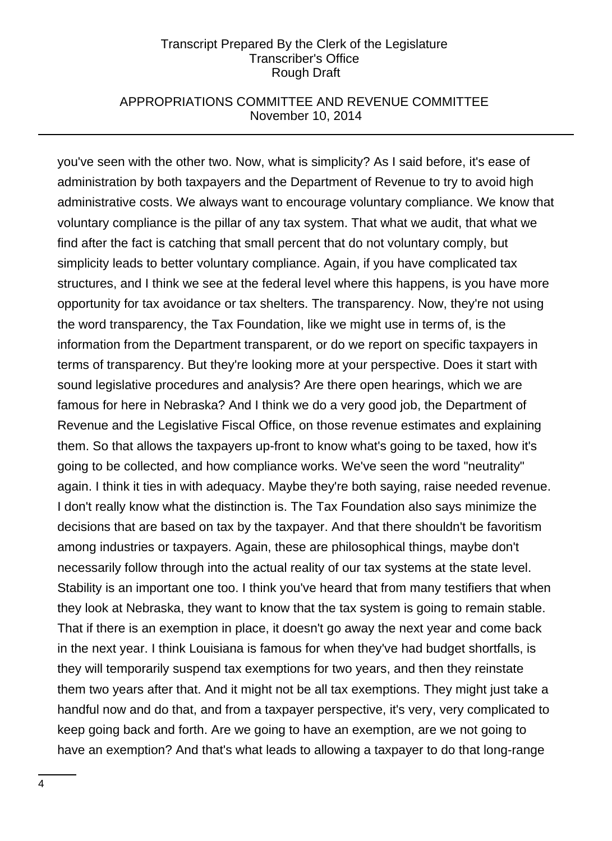## APPROPRIATIONS COMMITTEE AND REVENUE COMMITTEE November 10, 2014

you've seen with the other two. Now, what is simplicity? As I said before, it's ease of administration by both taxpayers and the Department of Revenue to try to avoid high administrative costs. We always want to encourage voluntary compliance. We know that voluntary compliance is the pillar of any tax system. That what we audit, that what we find after the fact is catching that small percent that do not voluntary comply, but simplicity leads to better voluntary compliance. Again, if you have complicated tax structures, and I think we see at the federal level where this happens, is you have more opportunity for tax avoidance or tax shelters. The transparency. Now, they're not using the word transparency, the Tax Foundation, like we might use in terms of, is the information from the Department transparent, or do we report on specific taxpayers in terms of transparency. But they're looking more at your perspective. Does it start with sound legislative procedures and analysis? Are there open hearings, which we are famous for here in Nebraska? And I think we do a very good job, the Department of Revenue and the Legislative Fiscal Office, on those revenue estimates and explaining them. So that allows the taxpayers up-front to know what's going to be taxed, how it's going to be collected, and how compliance works. We've seen the word "neutrality" again. I think it ties in with adequacy. Maybe they're both saying, raise needed revenue. I don't really know what the distinction is. The Tax Foundation also says minimize the decisions that are based on tax by the taxpayer. And that there shouldn't be favoritism among industries or taxpayers. Again, these are philosophical things, maybe don't necessarily follow through into the actual reality of our tax systems at the state level. Stability is an important one too. I think you've heard that from many testifiers that when they look at Nebraska, they want to know that the tax system is going to remain stable. That if there is an exemption in place, it doesn't go away the next year and come back in the next year. I think Louisiana is famous for when they've had budget shortfalls, is they will temporarily suspend tax exemptions for two years, and then they reinstate them two years after that. And it might not be all tax exemptions. They might just take a handful now and do that, and from a taxpayer perspective, it's very, very complicated to keep going back and forth. Are we going to have an exemption, are we not going to have an exemption? And that's what leads to allowing a taxpayer to do that long-range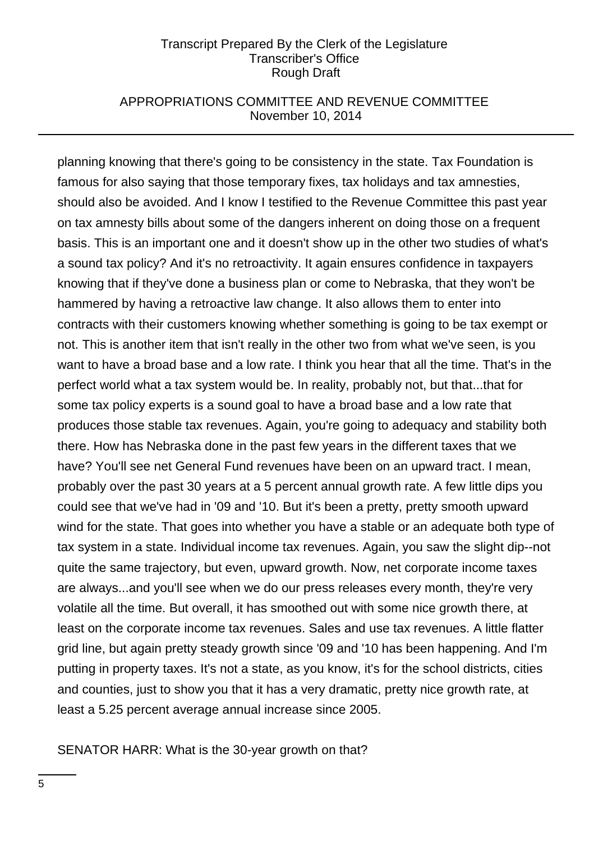## APPROPRIATIONS COMMITTEE AND REVENUE COMMITTEE November 10, 2014

planning knowing that there's going to be consistency in the state. Tax Foundation is famous for also saying that those temporary fixes, tax holidays and tax amnesties, should also be avoided. And I know I testified to the Revenue Committee this past year on tax amnesty bills about some of the dangers inherent on doing those on a frequent basis. This is an important one and it doesn't show up in the other two studies of what's a sound tax policy? And it's no retroactivity. It again ensures confidence in taxpayers knowing that if they've done a business plan or come to Nebraska, that they won't be hammered by having a retroactive law change. It also allows them to enter into contracts with their customers knowing whether something is going to be tax exempt or not. This is another item that isn't really in the other two from what we've seen, is you want to have a broad base and a low rate. I think you hear that all the time. That's in the perfect world what a tax system would be. In reality, probably not, but that...that for some tax policy experts is a sound goal to have a broad base and a low rate that produces those stable tax revenues. Again, you're going to adequacy and stability both there. How has Nebraska done in the past few years in the different taxes that we have? You'll see net General Fund revenues have been on an upward tract. I mean, probably over the past 30 years at a 5 percent annual growth rate. A few little dips you could see that we've had in '09 and '10. But it's been a pretty, pretty smooth upward wind for the state. That goes into whether you have a stable or an adequate both type of tax system in a state. Individual income tax revenues. Again, you saw the slight dip--not quite the same trajectory, but even, upward growth. Now, net corporate income taxes are always...and you'll see when we do our press releases every month, they're very volatile all the time. But overall, it has smoothed out with some nice growth there, at least on the corporate income tax revenues. Sales and use tax revenues. A little flatter grid line, but again pretty steady growth since '09 and '10 has been happening. And I'm putting in property taxes. It's not a state, as you know, it's for the school districts, cities and counties, just to show you that it has a very dramatic, pretty nice growth rate, at least a 5.25 percent average annual increase since 2005.

#### SENATOR HARR: What is the 30-year growth on that?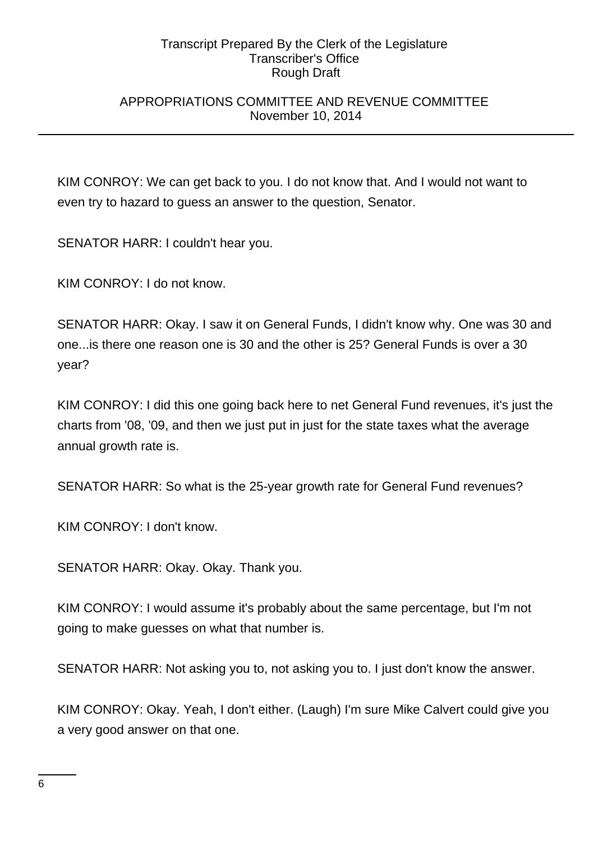## APPROPRIATIONS COMMITTEE AND REVENUE COMMITTEE November 10, 2014

KIM CONROY: We can get back to you. I do not know that. And I would not want to even try to hazard to guess an answer to the question, Senator.

SENATOR HARR: I couldn't hear you.

KIM CONROY: I do not know.

SENATOR HARR: Okay. I saw it on General Funds, I didn't know why. One was 30 and one...is there one reason one is 30 and the other is 25? General Funds is over a 30 year?

KIM CONROY: I did this one going back here to net General Fund revenues, it's just the charts from '08, '09, and then we just put in just for the state taxes what the average annual growth rate is.

SENATOR HARR: So what is the 25-year growth rate for General Fund revenues?

KIM CONROY: I don't know.

SENATOR HARR: Okay. Okay. Thank you.

KIM CONROY: I would assume it's probably about the same percentage, but I'm not going to make guesses on what that number is.

SENATOR HARR: Not asking you to, not asking you to. I just don't know the answer.

KIM CONROY: Okay. Yeah, I don't either. (Laugh) I'm sure Mike Calvert could give you a very good answer on that one.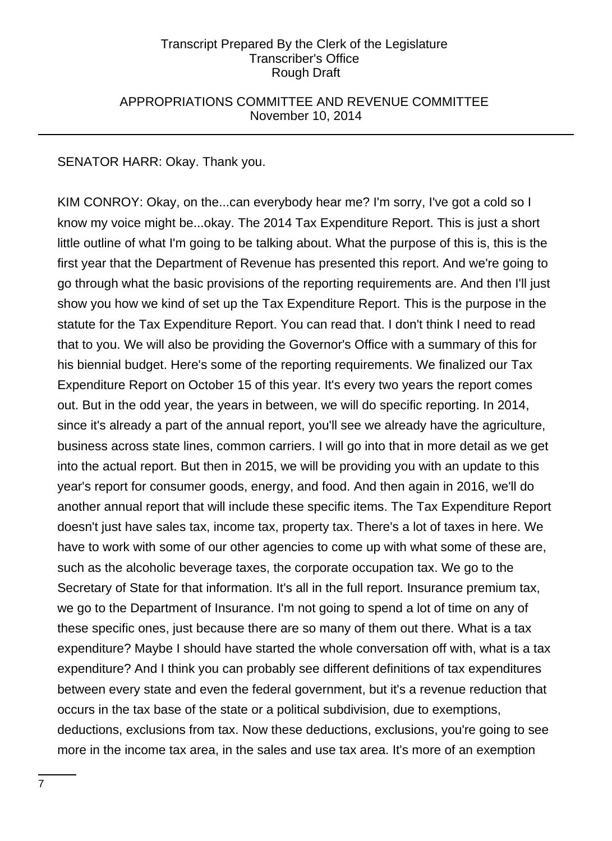## APPROPRIATIONS COMMITTEE AND REVENUE COMMITTEE November 10, 2014

SENATOR HARR: Okay. Thank you.

KIM CONROY: Okay, on the...can everybody hear me? I'm sorry, I've got a cold so I know my voice might be...okay. The 2014 Tax Expenditure Report. This is just a short little outline of what I'm going to be talking about. What the purpose of this is, this is the first year that the Department of Revenue has presented this report. And we're going to go through what the basic provisions of the reporting requirements are. And then I'll just show you how we kind of set up the Tax Expenditure Report. This is the purpose in the statute for the Tax Expenditure Report. You can read that. I don't think I need to read that to you. We will also be providing the Governor's Office with a summary of this for his biennial budget. Here's some of the reporting requirements. We finalized our Tax Expenditure Report on October 15 of this year. It's every two years the report comes out. But in the odd year, the years in between, we will do specific reporting. In 2014, since it's already a part of the annual report, you'll see we already have the agriculture, business across state lines, common carriers. I will go into that in more detail as we get into the actual report. But then in 2015, we will be providing you with an update to this year's report for consumer goods, energy, and food. And then again in 2016, we'll do another annual report that will include these specific items. The Tax Expenditure Report doesn't just have sales tax, income tax, property tax. There's a lot of taxes in here. We have to work with some of our other agencies to come up with what some of these are, such as the alcoholic beverage taxes, the corporate occupation tax. We go to the Secretary of State for that information. It's all in the full report. Insurance premium tax, we go to the Department of Insurance. I'm not going to spend a lot of time on any of these specific ones, just because there are so many of them out there. What is a tax expenditure? Maybe I should have started the whole conversation off with, what is a tax expenditure? And I think you can probably see different definitions of tax expenditures between every state and even the federal government, but it's a revenue reduction that occurs in the tax base of the state or a political subdivision, due to exemptions, deductions, exclusions from tax. Now these deductions, exclusions, you're going to see more in the income tax area, in the sales and use tax area. It's more of an exemption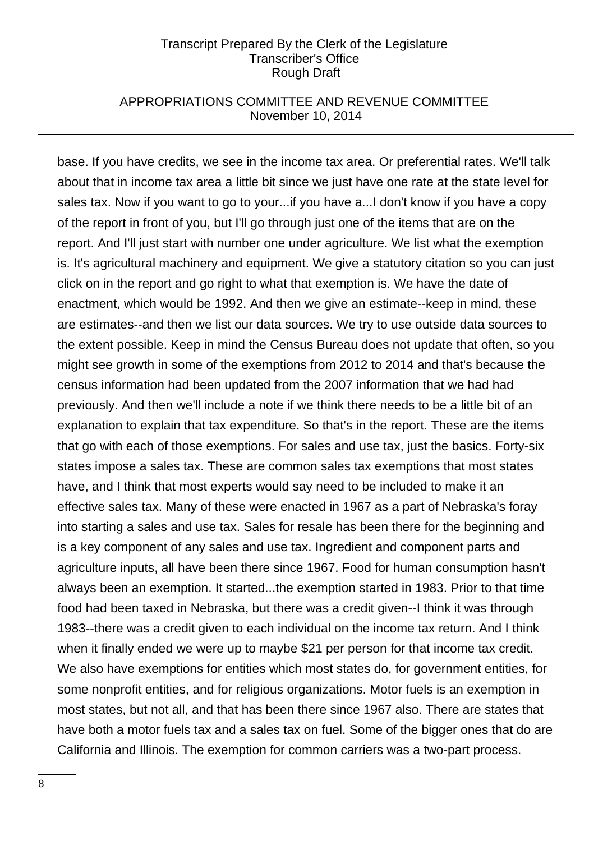## APPROPRIATIONS COMMITTEE AND REVENUE COMMITTEE November 10, 2014

base. If you have credits, we see in the income tax area. Or preferential rates. We'll talk about that in income tax area a little bit since we just have one rate at the state level for sales tax. Now if you want to go to your...if you have a...I don't know if you have a copy of the report in front of you, but I'll go through just one of the items that are on the report. And I'll just start with number one under agriculture. We list what the exemption is. It's agricultural machinery and equipment. We give a statutory citation so you can just click on in the report and go right to what that exemption is. We have the date of enactment, which would be 1992. And then we give an estimate--keep in mind, these are estimates--and then we list our data sources. We try to use outside data sources to the extent possible. Keep in mind the Census Bureau does not update that often, so you might see growth in some of the exemptions from 2012 to 2014 and that's because the census information had been updated from the 2007 information that we had had previously. And then we'll include a note if we think there needs to be a little bit of an explanation to explain that tax expenditure. So that's in the report. These are the items that go with each of those exemptions. For sales and use tax, just the basics. Forty-six states impose a sales tax. These are common sales tax exemptions that most states have, and I think that most experts would say need to be included to make it an effective sales tax. Many of these were enacted in 1967 as a part of Nebraska's foray into starting a sales and use tax. Sales for resale has been there for the beginning and is a key component of any sales and use tax. Ingredient and component parts and agriculture inputs, all have been there since 1967. Food for human consumption hasn't always been an exemption. It started...the exemption started in 1983. Prior to that time food had been taxed in Nebraska, but there was a credit given--I think it was through 1983--there was a credit given to each individual on the income tax return. And I think when it finally ended we were up to maybe \$21 per person for that income tax credit. We also have exemptions for entities which most states do, for government entities, for some nonprofit entities, and for religious organizations. Motor fuels is an exemption in most states, but not all, and that has been there since 1967 also. There are states that have both a motor fuels tax and a sales tax on fuel. Some of the bigger ones that do are California and Illinois. The exemption for common carriers was a two-part process.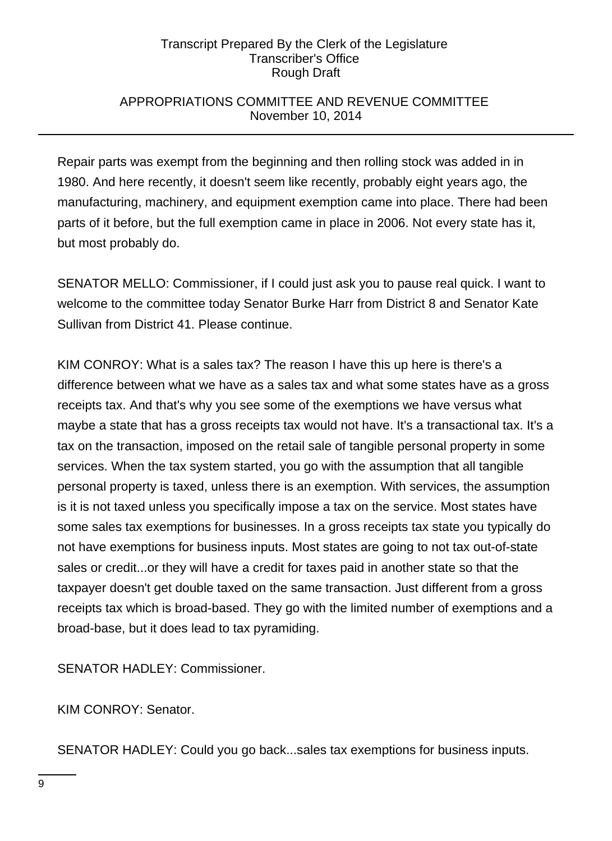## APPROPRIATIONS COMMITTEE AND REVENUE COMMITTEE November 10, 2014

Repair parts was exempt from the beginning and then rolling stock was added in in 1980. And here recently, it doesn't seem like recently, probably eight years ago, the manufacturing, machinery, and equipment exemption came into place. There had been parts of it before, but the full exemption came in place in 2006. Not every state has it, but most probably do.

SENATOR MELLO: Commissioner, if I could just ask you to pause real quick. I want to welcome to the committee today Senator Burke Harr from District 8 and Senator Kate Sullivan from District 41. Please continue.

KIM CONROY: What is a sales tax? The reason I have this up here is there's a difference between what we have as a sales tax and what some states have as a gross receipts tax. And that's why you see some of the exemptions we have versus what maybe a state that has a gross receipts tax would not have. It's a transactional tax. It's a tax on the transaction, imposed on the retail sale of tangible personal property in some services. When the tax system started, you go with the assumption that all tangible personal property is taxed, unless there is an exemption. With services, the assumption is it is not taxed unless you specifically impose a tax on the service. Most states have some sales tax exemptions for businesses. In a gross receipts tax state you typically do not have exemptions for business inputs. Most states are going to not tax out-of-state sales or credit...or they will have a credit for taxes paid in another state so that the taxpayer doesn't get double taxed on the same transaction. Just different from a gross receipts tax which is broad-based. They go with the limited number of exemptions and a broad-base, but it does lead to tax pyramiding.

SENATOR HADLEY: Commissioner.

KIM CONROY: Senator.

SENATOR HADLEY: Could you go back...sales tax exemptions for business inputs.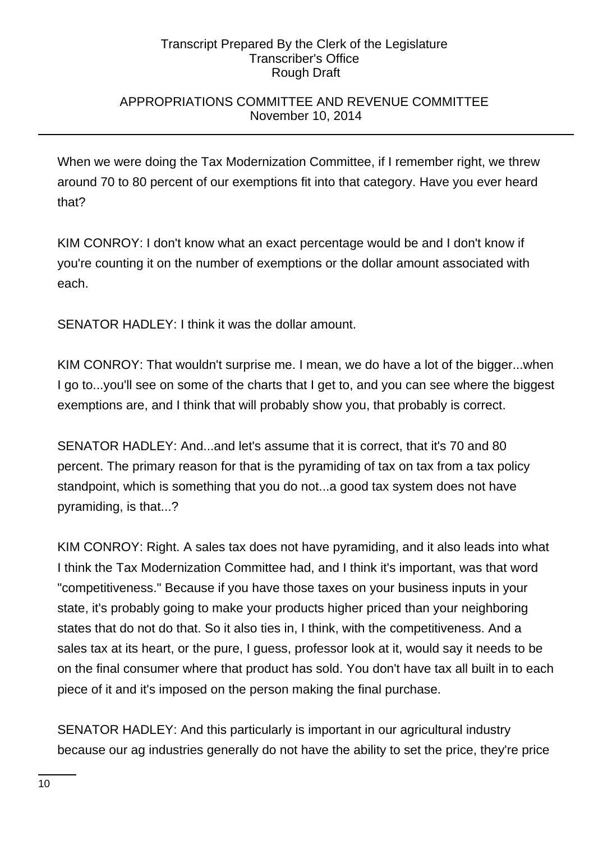## APPROPRIATIONS COMMITTEE AND REVENUE COMMITTEE November 10, 2014

When we were doing the Tax Modernization Committee, if I remember right, we threw around 70 to 80 percent of our exemptions fit into that category. Have you ever heard that?

KIM CONROY: I don't know what an exact percentage would be and I don't know if you're counting it on the number of exemptions or the dollar amount associated with each.

SENATOR HADLEY: I think it was the dollar amount.

KIM CONROY: That wouldn't surprise me. I mean, we do have a lot of the bigger...when I go to...you'll see on some of the charts that I get to, and you can see where the biggest exemptions are, and I think that will probably show you, that probably is correct.

SENATOR HADLEY: And...and let's assume that it is correct, that it's 70 and 80 percent. The primary reason for that is the pyramiding of tax on tax from a tax policy standpoint, which is something that you do not...a good tax system does not have pyramiding, is that...?

KIM CONROY: Right. A sales tax does not have pyramiding, and it also leads into what I think the Tax Modernization Committee had, and I think it's important, was that word "competitiveness." Because if you have those taxes on your business inputs in your state, it's probably going to make your products higher priced than your neighboring states that do not do that. So it also ties in, I think, with the competitiveness. And a sales tax at its heart, or the pure, I guess, professor look at it, would say it needs to be on the final consumer where that product has sold. You don't have tax all built in to each piece of it and it's imposed on the person making the final purchase.

SENATOR HADLEY: And this particularly is important in our agricultural industry because our ag industries generally do not have the ability to set the price, they're price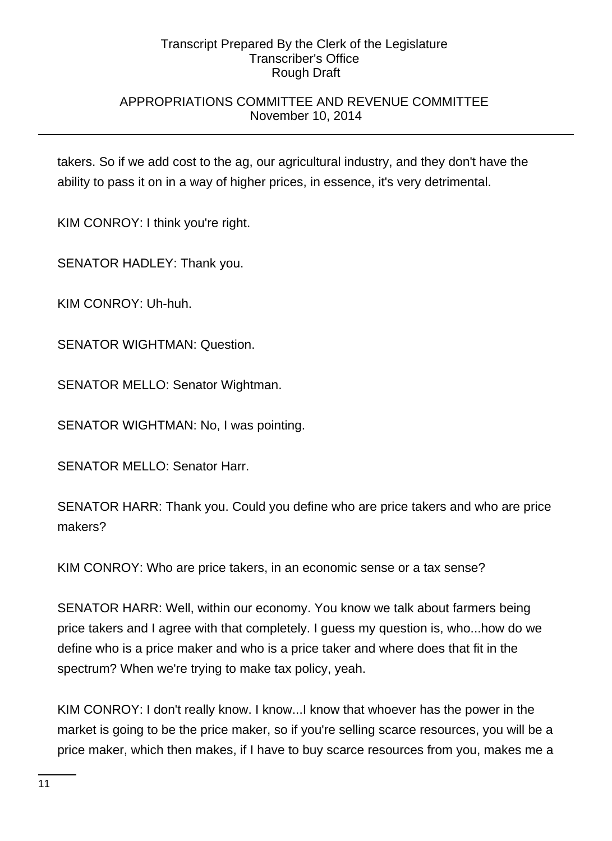## APPROPRIATIONS COMMITTEE AND REVENUE COMMITTEE November 10, 2014

takers. So if we add cost to the ag, our agricultural industry, and they don't have the ability to pass it on in a way of higher prices, in essence, it's very detrimental.

KIM CONROY: I think you're right.

SENATOR HADLEY: Thank you.

KIM CONROY: Uh-huh.

SENATOR WIGHTMAN: Question.

SENATOR MELLO: Senator Wightman.

SENATOR WIGHTMAN: No, I was pointing.

SENATOR MELLO: Senator Harr.

SENATOR HARR: Thank you. Could you define who are price takers and who are price makers?

KIM CONROY: Who are price takers, in an economic sense or a tax sense?

SENATOR HARR: Well, within our economy. You know we talk about farmers being price takers and I agree with that completely. I guess my question is, who...how do we define who is a price maker and who is a price taker and where does that fit in the spectrum? When we're trying to make tax policy, yeah.

KIM CONROY: I don't really know. I know...I know that whoever has the power in the market is going to be the price maker, so if you're selling scarce resources, you will be a price maker, which then makes, if I have to buy scarce resources from you, makes me a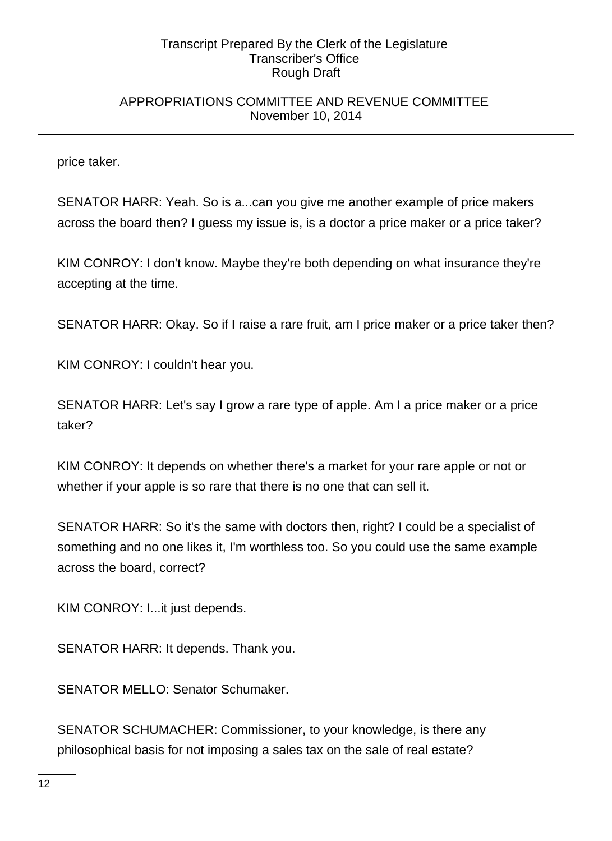## APPROPRIATIONS COMMITTEE AND REVENUE COMMITTEE November 10, 2014

price taker.

SENATOR HARR: Yeah. So is a...can you give me another example of price makers across the board then? I guess my issue is, is a doctor a price maker or a price taker?

KIM CONROY: I don't know. Maybe they're both depending on what insurance they're accepting at the time.

SENATOR HARR: Okay. So if I raise a rare fruit, am I price maker or a price taker then?

KIM CONROY: I couldn't hear you.

SENATOR HARR: Let's say I grow a rare type of apple. Am I a price maker or a price taker?

KIM CONROY: It depends on whether there's a market for your rare apple or not or whether if your apple is so rare that there is no one that can sell it.

SENATOR HARR: So it's the same with doctors then, right? I could be a specialist of something and no one likes it, I'm worthless too. So you could use the same example across the board, correct?

KIM CONROY: I...it just depends.

SENATOR HARR: It depends. Thank you.

SENATOR MELLO: Senator Schumaker.

SENATOR SCHUMACHER: Commissioner, to your knowledge, is there any philosophical basis for not imposing a sales tax on the sale of real estate?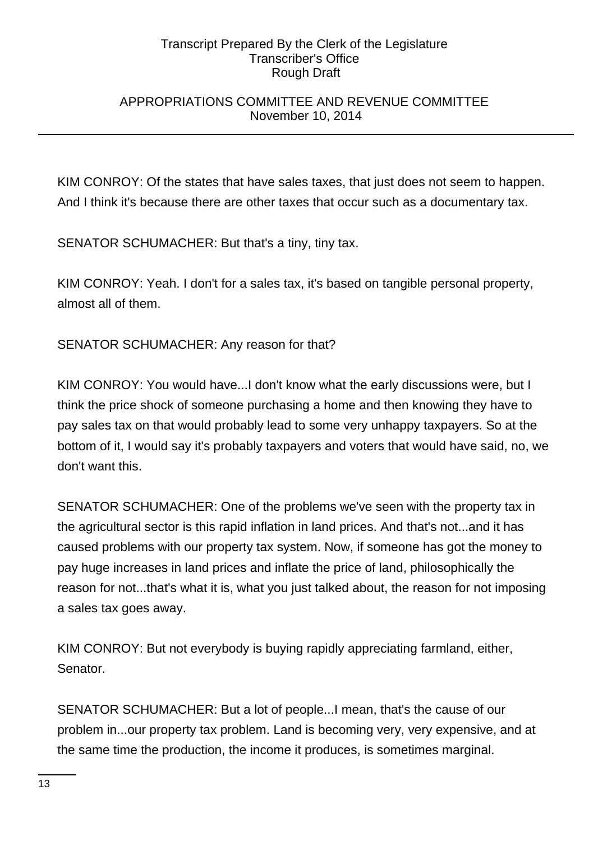## APPROPRIATIONS COMMITTEE AND REVENUE COMMITTEE November 10, 2014

KIM CONROY: Of the states that have sales taxes, that just does not seem to happen. And I think it's because there are other taxes that occur such as a documentary tax.

SENATOR SCHUMACHER: But that's a tiny, tiny tax.

KIM CONROY: Yeah. I don't for a sales tax, it's based on tangible personal property, almost all of them.

SENATOR SCHUMACHER: Any reason for that?

KIM CONROY: You would have...I don't know what the early discussions were, but I think the price shock of someone purchasing a home and then knowing they have to pay sales tax on that would probably lead to some very unhappy taxpayers. So at the bottom of it, I would say it's probably taxpayers and voters that would have said, no, we don't want this.

SENATOR SCHUMACHER: One of the problems we've seen with the property tax in the agricultural sector is this rapid inflation in land prices. And that's not...and it has caused problems with our property tax system. Now, if someone has got the money to pay huge increases in land prices and inflate the price of land, philosophically the reason for not...that's what it is, what you just talked about, the reason for not imposing a sales tax goes away.

KIM CONROY: But not everybody is buying rapidly appreciating farmland, either, Senator.

SENATOR SCHUMACHER: But a lot of people...I mean, that's the cause of our problem in...our property tax problem. Land is becoming very, very expensive, and at the same time the production, the income it produces, is sometimes marginal.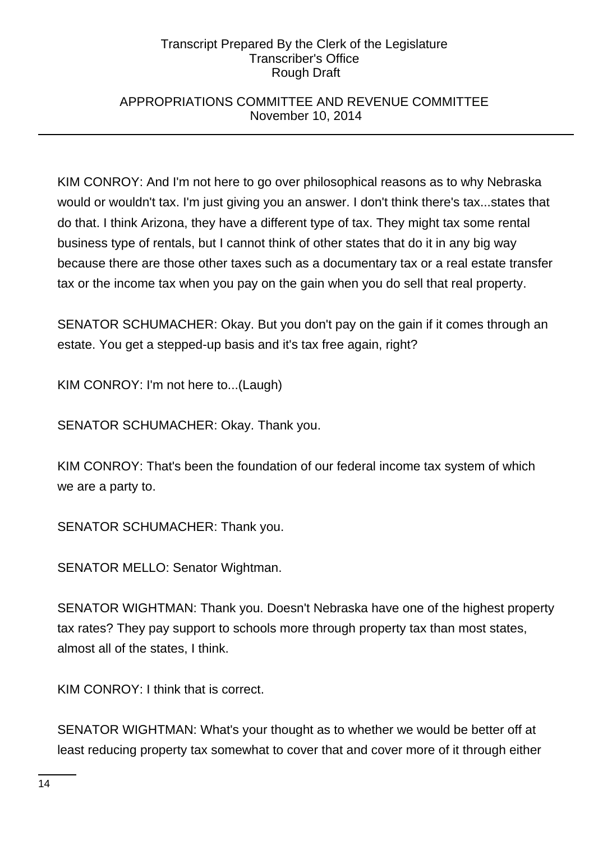## APPROPRIATIONS COMMITTEE AND REVENUE COMMITTEE November 10, 2014

KIM CONROY: And I'm not here to go over philosophical reasons as to why Nebraska would or wouldn't tax. I'm just giving you an answer. I don't think there's tax...states that do that. I think Arizona, they have a different type of tax. They might tax some rental business type of rentals, but I cannot think of other states that do it in any big way because there are those other taxes such as a documentary tax or a real estate transfer tax or the income tax when you pay on the gain when you do sell that real property.

SENATOR SCHUMACHER: Okay. But you don't pay on the gain if it comes through an estate. You get a stepped-up basis and it's tax free again, right?

KIM CONROY: I'm not here to...(Laugh)

SENATOR SCHUMACHER: Okay. Thank you.

KIM CONROY: That's been the foundation of our federal income tax system of which we are a party to.

SENATOR SCHUMACHER: Thank you.

SENATOR MELLO: Senator Wightman.

SENATOR WIGHTMAN: Thank you. Doesn't Nebraska have one of the highest property tax rates? They pay support to schools more through property tax than most states, almost all of the states, I think.

KIM CONROY: I think that is correct.

SENATOR WIGHTMAN: What's your thought as to whether we would be better off at least reducing property tax somewhat to cover that and cover more of it through either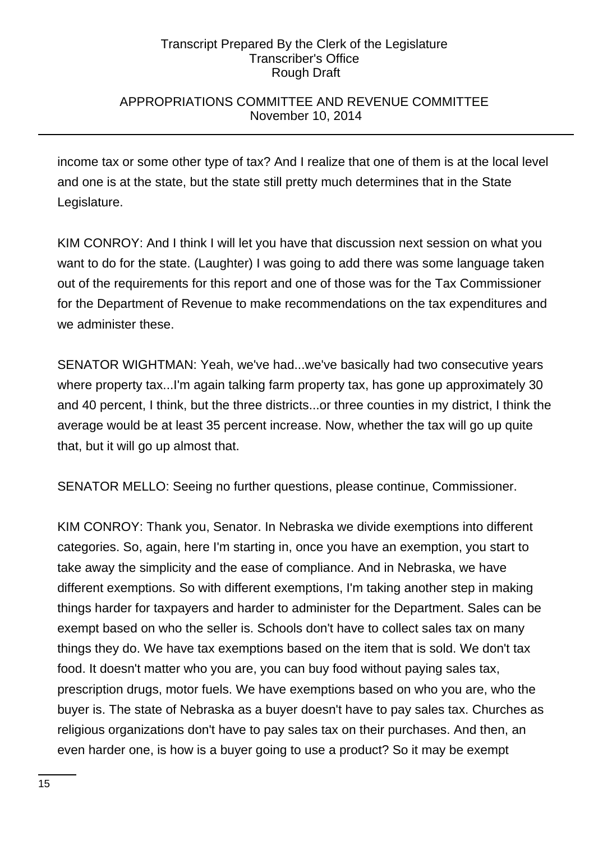## APPROPRIATIONS COMMITTEE AND REVENUE COMMITTEE November 10, 2014

income tax or some other type of tax? And I realize that one of them is at the local level and one is at the state, but the state still pretty much determines that in the State Legislature.

KIM CONROY: And I think I will let you have that discussion next session on what you want to do for the state. (Laughter) I was going to add there was some language taken out of the requirements for this report and one of those was for the Tax Commissioner for the Department of Revenue to make recommendations on the tax expenditures and we administer these.

SENATOR WIGHTMAN: Yeah, we've had...we've basically had two consecutive years where property tax...I'm again talking farm property tax, has gone up approximately 30 and 40 percent, I think, but the three districts...or three counties in my district, I think the average would be at least 35 percent increase. Now, whether the tax will go up quite that, but it will go up almost that.

SENATOR MELLO: Seeing no further questions, please continue, Commissioner.

KIM CONROY: Thank you, Senator. In Nebraska we divide exemptions into different categories. So, again, here I'm starting in, once you have an exemption, you start to take away the simplicity and the ease of compliance. And in Nebraska, we have different exemptions. So with different exemptions, I'm taking another step in making things harder for taxpayers and harder to administer for the Department. Sales can be exempt based on who the seller is. Schools don't have to collect sales tax on many things they do. We have tax exemptions based on the item that is sold. We don't tax food. It doesn't matter who you are, you can buy food without paying sales tax, prescription drugs, motor fuels. We have exemptions based on who you are, who the buyer is. The state of Nebraska as a buyer doesn't have to pay sales tax. Churches as religious organizations don't have to pay sales tax on their purchases. And then, an even harder one, is how is a buyer going to use a product? So it may be exempt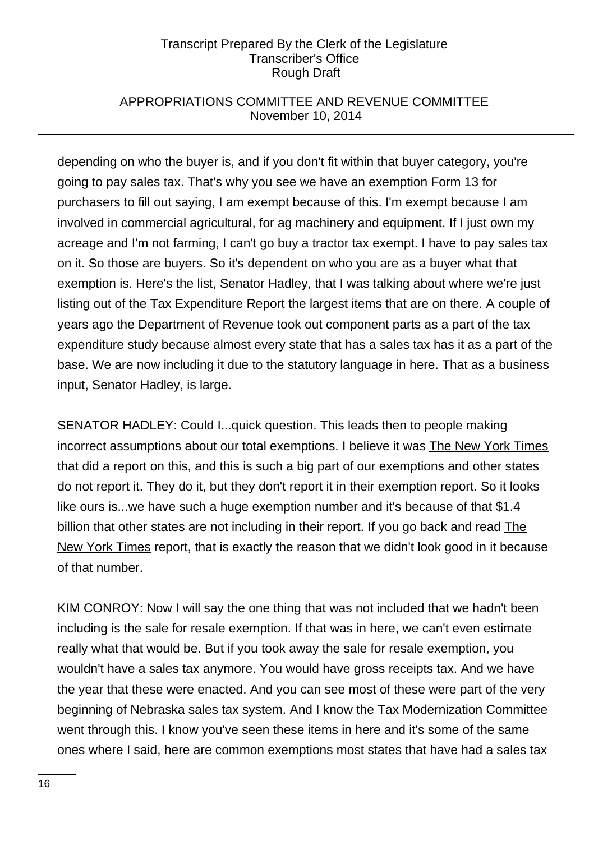## APPROPRIATIONS COMMITTEE AND REVENUE COMMITTEE November 10, 2014

depending on who the buyer is, and if you don't fit within that buyer category, you're going to pay sales tax. That's why you see we have an exemption Form 13 for purchasers to fill out saying, I am exempt because of this. I'm exempt because I am involved in commercial agricultural, for ag machinery and equipment. If I just own my acreage and I'm not farming, I can't go buy a tractor tax exempt. I have to pay sales tax on it. So those are buyers. So it's dependent on who you are as a buyer what that exemption is. Here's the list, Senator Hadley, that I was talking about where we're just listing out of the Tax Expenditure Report the largest items that are on there. A couple of years ago the Department of Revenue took out component parts as a part of the tax expenditure study because almost every state that has a sales tax has it as a part of the base. We are now including it due to the statutory language in here. That as a business input, Senator Hadley, is large.

SENATOR HADLEY: Could I...quick question. This leads then to people making incorrect assumptions about our total exemptions. I believe it was The New York Times that did a report on this, and this is such a big part of our exemptions and other states do not report it. They do it, but they don't report it in their exemption report. So it looks like ours is...we have such a huge exemption number and it's because of that \$1.4 billion that other states are not including in their report. If you go back and read The New York Times report, that is exactly the reason that we didn't look good in it because of that number.

KIM CONROY: Now I will say the one thing that was not included that we hadn't been including is the sale for resale exemption. If that was in here, we can't even estimate really what that would be. But if you took away the sale for resale exemption, you wouldn't have a sales tax anymore. You would have gross receipts tax. And we have the year that these were enacted. And you can see most of these were part of the very beginning of Nebraska sales tax system. And I know the Tax Modernization Committee went through this. I know you've seen these items in here and it's some of the same ones where I said, here are common exemptions most states that have had a sales tax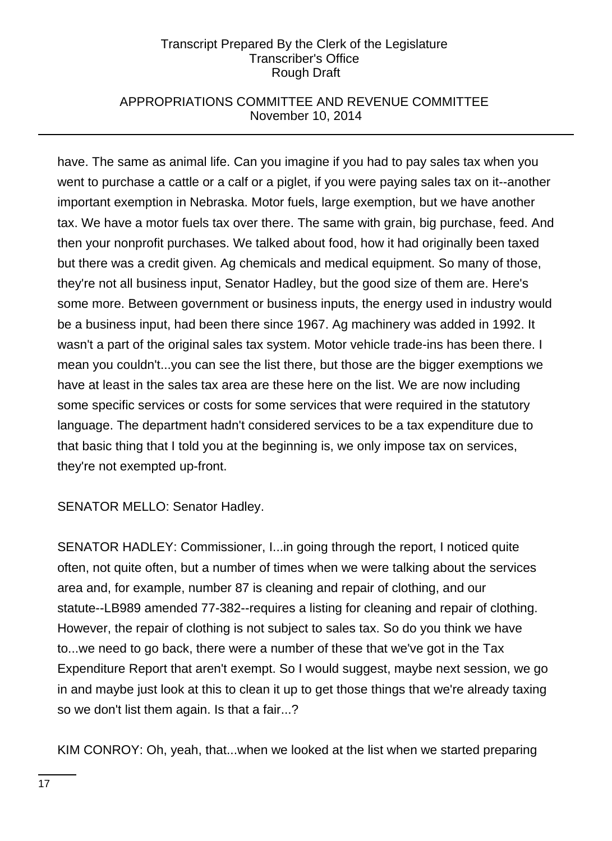## APPROPRIATIONS COMMITTEE AND REVENUE COMMITTEE November 10, 2014

have. The same as animal life. Can you imagine if you had to pay sales tax when you went to purchase a cattle or a calf or a piglet, if you were paying sales tax on it--another important exemption in Nebraska. Motor fuels, large exemption, but we have another tax. We have a motor fuels tax over there. The same with grain, big purchase, feed. And then your nonprofit purchases. We talked about food, how it had originally been taxed but there was a credit given. Ag chemicals and medical equipment. So many of those, they're not all business input, Senator Hadley, but the good size of them are. Here's some more. Between government or business inputs, the energy used in industry would be a business input, had been there since 1967. Ag machinery was added in 1992. It wasn't a part of the original sales tax system. Motor vehicle trade-ins has been there. I mean you couldn't...you can see the list there, but those are the bigger exemptions we have at least in the sales tax area are these here on the list. We are now including some specific services or costs for some services that were required in the statutory language. The department hadn't considered services to be a tax expenditure due to that basic thing that I told you at the beginning is, we only impose tax on services, they're not exempted up-front.

SENATOR MELLO: Senator Hadley.

SENATOR HADLEY: Commissioner, I...in going through the report, I noticed quite often, not quite often, but a number of times when we were talking about the services area and, for example, number 87 is cleaning and repair of clothing, and our statute--LB989 amended 77-382--requires a listing for cleaning and repair of clothing. However, the repair of clothing is not subject to sales tax. So do you think we have to...we need to go back, there were a number of these that we've got in the Tax Expenditure Report that aren't exempt. So I would suggest, maybe next session, we go in and maybe just look at this to clean it up to get those things that we're already taxing so we don't list them again. Is that a fair...?

KIM CONROY: Oh, yeah, that...when we looked at the list when we started preparing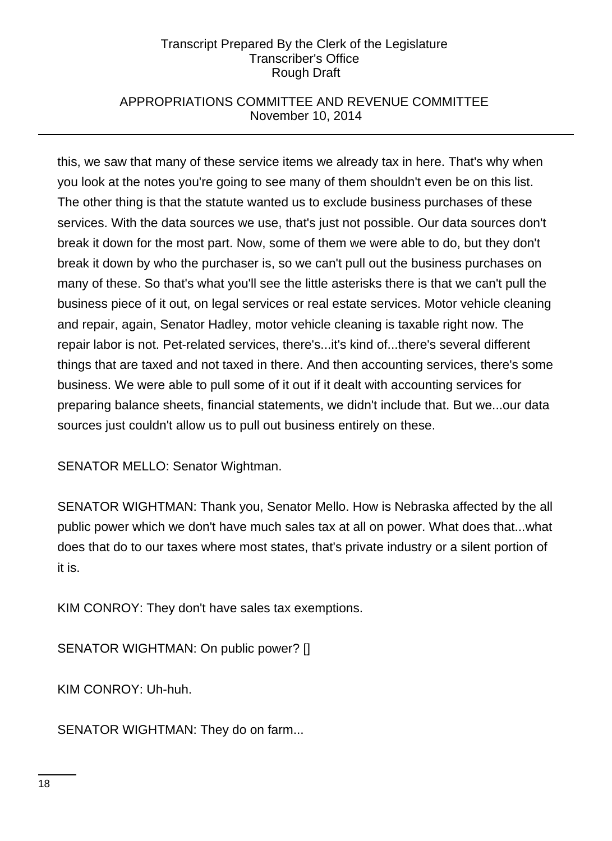## APPROPRIATIONS COMMITTEE AND REVENUE COMMITTEE November 10, 2014

this, we saw that many of these service items we already tax in here. That's why when you look at the notes you're going to see many of them shouldn't even be on this list. The other thing is that the statute wanted us to exclude business purchases of these services. With the data sources we use, that's just not possible. Our data sources don't break it down for the most part. Now, some of them we were able to do, but they don't break it down by who the purchaser is, so we can't pull out the business purchases on many of these. So that's what you'll see the little asterisks there is that we can't pull the business piece of it out, on legal services or real estate services. Motor vehicle cleaning and repair, again, Senator Hadley, motor vehicle cleaning is taxable right now. The repair labor is not. Pet-related services, there's...it's kind of...there's several different things that are taxed and not taxed in there. And then accounting services, there's some business. We were able to pull some of it out if it dealt with accounting services for preparing balance sheets, financial statements, we didn't include that. But we...our data sources just couldn't allow us to pull out business entirely on these.

SENATOR MELLO: Senator Wightman.

SENATOR WIGHTMAN: Thank you, Senator Mello. How is Nebraska affected by the all public power which we don't have much sales tax at all on power. What does that...what does that do to our taxes where most states, that's private industry or a silent portion of it is.

KIM CONROY: They don't have sales tax exemptions.

SENATOR WIGHTMAN: On public power? []

KIM CONROY: Uh-huh.

SENATOR WIGHTMAN: They do on farm...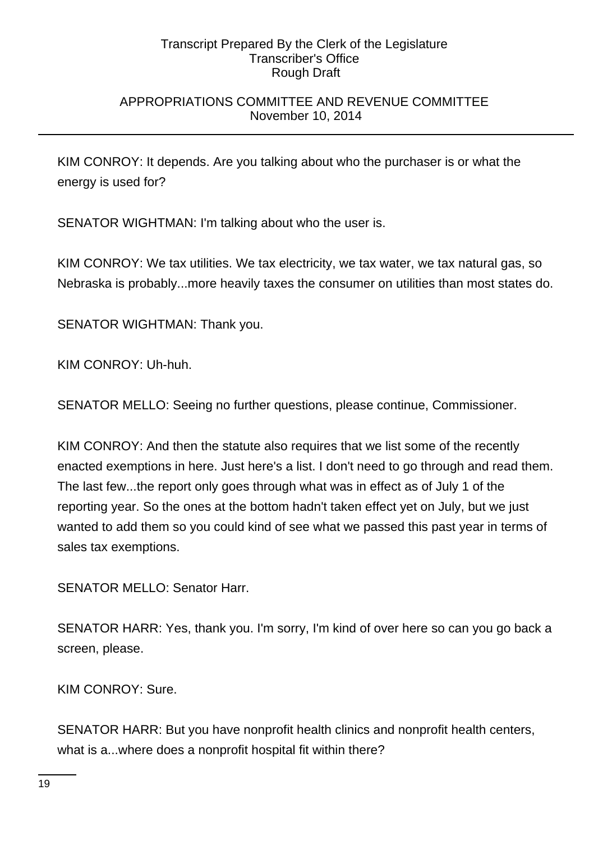## APPROPRIATIONS COMMITTEE AND REVENUE COMMITTEE November 10, 2014

KIM CONROY: It depends. Are you talking about who the purchaser is or what the energy is used for?

SENATOR WIGHTMAN: I'm talking about who the user is.

KIM CONROY: We tax utilities. We tax electricity, we tax water, we tax natural gas, so Nebraska is probably...more heavily taxes the consumer on utilities than most states do.

SENATOR WIGHTMAN: Thank you.

KIM CONROY: Uh-huh.

SENATOR MELLO: Seeing no further questions, please continue, Commissioner.

KIM CONROY: And then the statute also requires that we list some of the recently enacted exemptions in here. Just here's a list. I don't need to go through and read them. The last few...the report only goes through what was in effect as of July 1 of the reporting year. So the ones at the bottom hadn't taken effect yet on July, but we just wanted to add them so you could kind of see what we passed this past year in terms of sales tax exemptions.

SENATOR MELLO: Senator Harr.

SENATOR HARR: Yes, thank you. I'm sorry, I'm kind of over here so can you go back a screen, please.

KIM CONROY: Sure.

SENATOR HARR: But you have nonprofit health clinics and nonprofit health centers, what is a...where does a nonprofit hospital fit within there?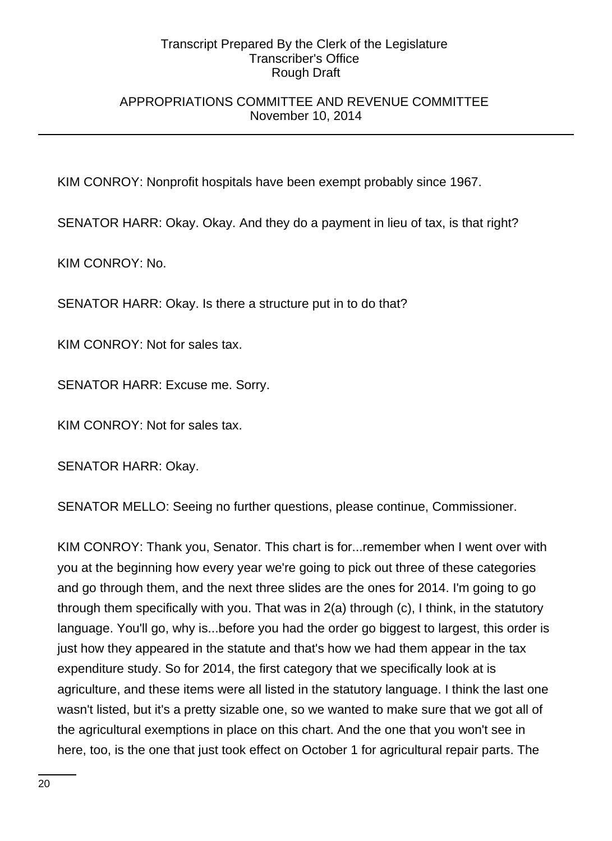## APPROPRIATIONS COMMITTEE AND REVENUE COMMITTEE November 10, 2014

KIM CONROY: Nonprofit hospitals have been exempt probably since 1967.

SENATOR HARR: Okay. Okay. And they do a payment in lieu of tax, is that right?

KIM CONROY: No.

SENATOR HARR: Okay. Is there a structure put in to do that?

KIM CONROY: Not for sales tax.

SENATOR HARR: Excuse me. Sorry.

KIM CONROY: Not for sales tax.

SENATOR HARR: Okay.

SENATOR MELLO: Seeing no further questions, please continue, Commissioner.

KIM CONROY: Thank you, Senator. This chart is for...remember when I went over with you at the beginning how every year we're going to pick out three of these categories and go through them, and the next three slides are the ones for 2014. I'm going to go through them specifically with you. That was in 2(a) through (c), I think, in the statutory language. You'll go, why is...before you had the order go biggest to largest, this order is just how they appeared in the statute and that's how we had them appear in the tax expenditure study. So for 2014, the first category that we specifically look at is agriculture, and these items were all listed in the statutory language. I think the last one wasn't listed, but it's a pretty sizable one, so we wanted to make sure that we got all of the agricultural exemptions in place on this chart. And the one that you won't see in here, too, is the one that just took effect on October 1 for agricultural repair parts. The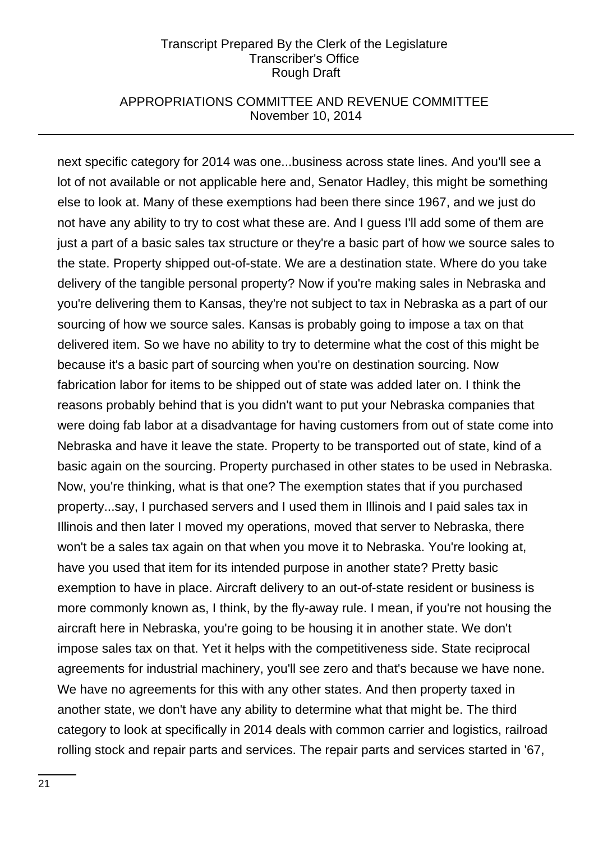## APPROPRIATIONS COMMITTEE AND REVENUE COMMITTEE November 10, 2014

next specific category for 2014 was one...business across state lines. And you'll see a lot of not available or not applicable here and, Senator Hadley, this might be something else to look at. Many of these exemptions had been there since 1967, and we just do not have any ability to try to cost what these are. And I guess I'll add some of them are just a part of a basic sales tax structure or they're a basic part of how we source sales to the state. Property shipped out-of-state. We are a destination state. Where do you take delivery of the tangible personal property? Now if you're making sales in Nebraska and you're delivering them to Kansas, they're not subject to tax in Nebraska as a part of our sourcing of how we source sales. Kansas is probably going to impose a tax on that delivered item. So we have no ability to try to determine what the cost of this might be because it's a basic part of sourcing when you're on destination sourcing. Now fabrication labor for items to be shipped out of state was added later on. I think the reasons probably behind that is you didn't want to put your Nebraska companies that were doing fab labor at a disadvantage for having customers from out of state come into Nebraska and have it leave the state. Property to be transported out of state, kind of a basic again on the sourcing. Property purchased in other states to be used in Nebraska. Now, you're thinking, what is that one? The exemption states that if you purchased property...say, I purchased servers and I used them in Illinois and I paid sales tax in Illinois and then later I moved my operations, moved that server to Nebraska, there won't be a sales tax again on that when you move it to Nebraska. You're looking at, have you used that item for its intended purpose in another state? Pretty basic exemption to have in place. Aircraft delivery to an out-of-state resident or business is more commonly known as, I think, by the fly-away rule. I mean, if you're not housing the aircraft here in Nebraska, you're going to be housing it in another state. We don't impose sales tax on that. Yet it helps with the competitiveness side. State reciprocal agreements for industrial machinery, you'll see zero and that's because we have none. We have no agreements for this with any other states. And then property taxed in another state, we don't have any ability to determine what that might be. The third category to look at specifically in 2014 deals with common carrier and logistics, railroad rolling stock and repair parts and services. The repair parts and services started in '67,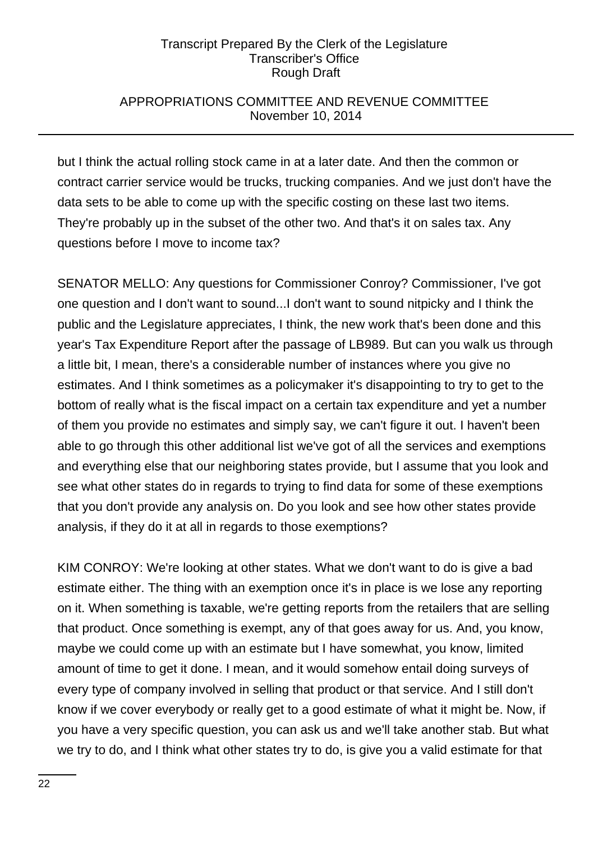## APPROPRIATIONS COMMITTEE AND REVENUE COMMITTEE November 10, 2014

but I think the actual rolling stock came in at a later date. And then the common or contract carrier service would be trucks, trucking companies. And we just don't have the data sets to be able to come up with the specific costing on these last two items. They're probably up in the subset of the other two. And that's it on sales tax. Any questions before I move to income tax?

SENATOR MELLO: Any questions for Commissioner Conroy? Commissioner, I've got one question and I don't want to sound...I don't want to sound nitpicky and I think the public and the Legislature appreciates, I think, the new work that's been done and this year's Tax Expenditure Report after the passage of LB989. But can you walk us through a little bit, I mean, there's a considerable number of instances where you give no estimates. And I think sometimes as a policymaker it's disappointing to try to get to the bottom of really what is the fiscal impact on a certain tax expenditure and yet a number of them you provide no estimates and simply say, we can't figure it out. I haven't been able to go through this other additional list we've got of all the services and exemptions and everything else that our neighboring states provide, but I assume that you look and see what other states do in regards to trying to find data for some of these exemptions that you don't provide any analysis on. Do you look and see how other states provide analysis, if they do it at all in regards to those exemptions?

KIM CONROY: We're looking at other states. What we don't want to do is give a bad estimate either. The thing with an exemption once it's in place is we lose any reporting on it. When something is taxable, we're getting reports from the retailers that are selling that product. Once something is exempt, any of that goes away for us. And, you know, maybe we could come up with an estimate but I have somewhat, you know, limited amount of time to get it done. I mean, and it would somehow entail doing surveys of every type of company involved in selling that product or that service. And I still don't know if we cover everybody or really get to a good estimate of what it might be. Now, if you have a very specific question, you can ask us and we'll take another stab. But what we try to do, and I think what other states try to do, is give you a valid estimate for that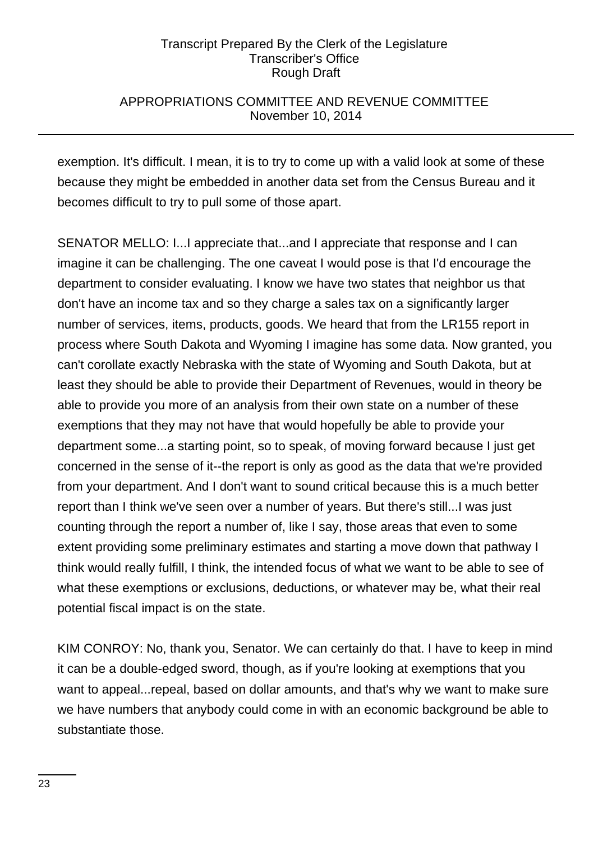## APPROPRIATIONS COMMITTEE AND REVENUE COMMITTEE November 10, 2014

exemption. It's difficult. I mean, it is to try to come up with a valid look at some of these because they might be embedded in another data set from the Census Bureau and it becomes difficult to try to pull some of those apart.

SENATOR MELLO: I...I appreciate that...and I appreciate that response and I can imagine it can be challenging. The one caveat I would pose is that I'd encourage the department to consider evaluating. I know we have two states that neighbor us that don't have an income tax and so they charge a sales tax on a significantly larger number of services, items, products, goods. We heard that from the LR155 report in process where South Dakota and Wyoming I imagine has some data. Now granted, you can't corollate exactly Nebraska with the state of Wyoming and South Dakota, but at least they should be able to provide their Department of Revenues, would in theory be able to provide you more of an analysis from their own state on a number of these exemptions that they may not have that would hopefully be able to provide your department some...a starting point, so to speak, of moving forward because I just get concerned in the sense of it--the report is only as good as the data that we're provided from your department. And I don't want to sound critical because this is a much better report than I think we've seen over a number of years. But there's still...I was just counting through the report a number of, like I say, those areas that even to some extent providing some preliminary estimates and starting a move down that pathway I think would really fulfill, I think, the intended focus of what we want to be able to see of what these exemptions or exclusions, deductions, or whatever may be, what their real potential fiscal impact is on the state.

KIM CONROY: No, thank you, Senator. We can certainly do that. I have to keep in mind it can be a double-edged sword, though, as if you're looking at exemptions that you want to appeal...repeal, based on dollar amounts, and that's why we want to make sure we have numbers that anybody could come in with an economic background be able to substantiate those.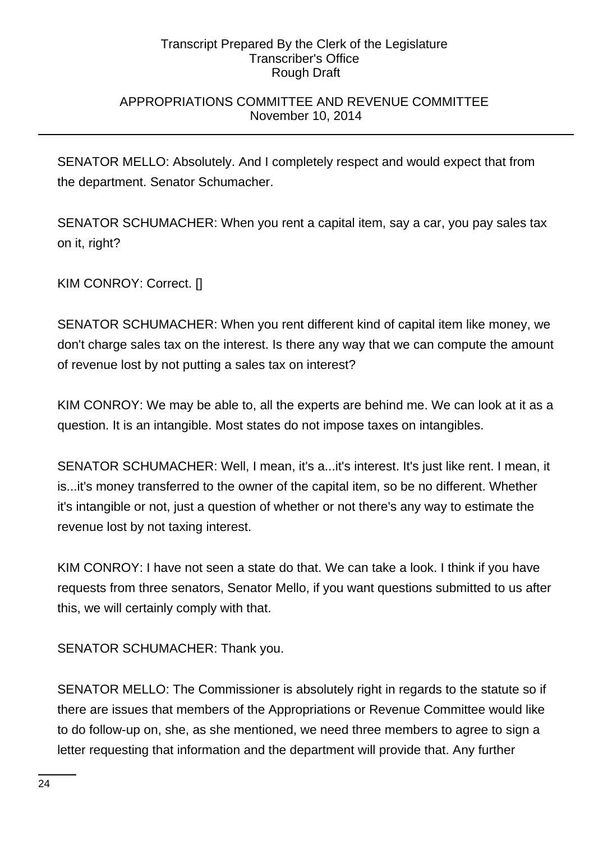## APPROPRIATIONS COMMITTEE AND REVENUE COMMITTEE November 10, 2014

SENATOR MELLO: Absolutely. And I completely respect and would expect that from the department. Senator Schumacher.

SENATOR SCHUMACHER: When you rent a capital item, say a car, you pay sales tax on it, right?

KIM CONROY: Correct. []

SENATOR SCHUMACHER: When you rent different kind of capital item like money, we don't charge sales tax on the interest. Is there any way that we can compute the amount of revenue lost by not putting a sales tax on interest?

KIM CONROY: We may be able to, all the experts are behind me. We can look at it as a question. It is an intangible. Most states do not impose taxes on intangibles.

SENATOR SCHUMACHER: Well, I mean, it's a...it's interest. It's just like rent. I mean, it is...it's money transferred to the owner of the capital item, so be no different. Whether it's intangible or not, just a question of whether or not there's any way to estimate the revenue lost by not taxing interest.

KIM CONROY: I have not seen a state do that. We can take a look. I think if you have requests from three senators, Senator Mello, if you want questions submitted to us after this, we will certainly comply with that.

SENATOR SCHUMACHER: Thank you.

SENATOR MELLO: The Commissioner is absolutely right in regards to the statute so if there are issues that members of the Appropriations or Revenue Committee would like to do follow-up on, she, as she mentioned, we need three members to agree to sign a letter requesting that information and the department will provide that. Any further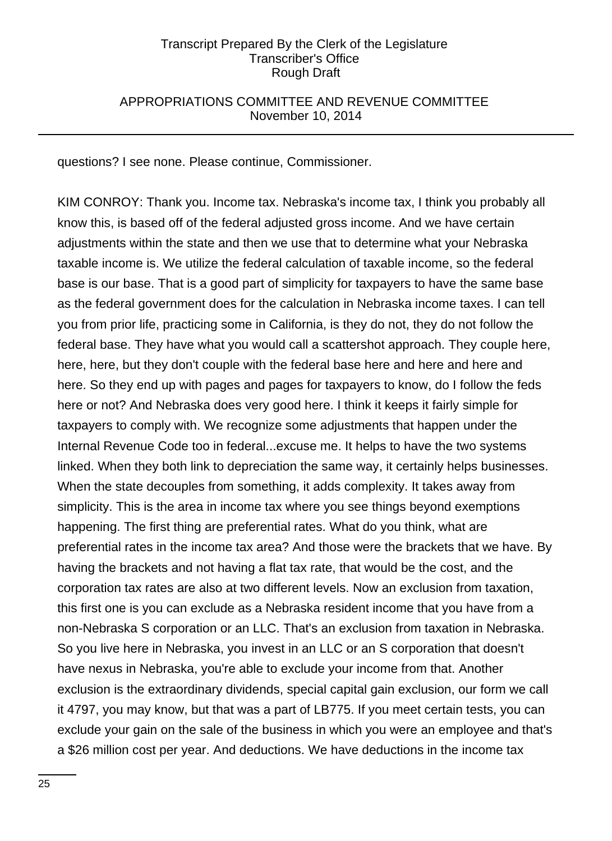## APPROPRIATIONS COMMITTEE AND REVENUE COMMITTEE November 10, 2014

questions? I see none. Please continue, Commissioner.

KIM CONROY: Thank you. Income tax. Nebraska's income tax, I think you probably all know this, is based off of the federal adjusted gross income. And we have certain adjustments within the state and then we use that to determine what your Nebraska taxable income is. We utilize the federal calculation of taxable income, so the federal base is our base. That is a good part of simplicity for taxpayers to have the same base as the federal government does for the calculation in Nebraska income taxes. I can tell you from prior life, practicing some in California, is they do not, they do not follow the federal base. They have what you would call a scattershot approach. They couple here, here, here, but they don't couple with the federal base here and here and here and here. So they end up with pages and pages for taxpayers to know, do I follow the feds here or not? And Nebraska does very good here. I think it keeps it fairly simple for taxpayers to comply with. We recognize some adjustments that happen under the Internal Revenue Code too in federal...excuse me. It helps to have the two systems linked. When they both link to depreciation the same way, it certainly helps businesses. When the state decouples from something, it adds complexity. It takes away from simplicity. This is the area in income tax where you see things beyond exemptions happening. The first thing are preferential rates. What do you think, what are preferential rates in the income tax area? And those were the brackets that we have. By having the brackets and not having a flat tax rate, that would be the cost, and the corporation tax rates are also at two different levels. Now an exclusion from taxation, this first one is you can exclude as a Nebraska resident income that you have from a non-Nebraska S corporation or an LLC. That's an exclusion from taxation in Nebraska. So you live here in Nebraska, you invest in an LLC or an S corporation that doesn't have nexus in Nebraska, you're able to exclude your income from that. Another exclusion is the extraordinary dividends, special capital gain exclusion, our form we call it 4797, you may know, but that was a part of LB775. If you meet certain tests, you can exclude your gain on the sale of the business in which you were an employee and that's a \$26 million cost per year. And deductions. We have deductions in the income tax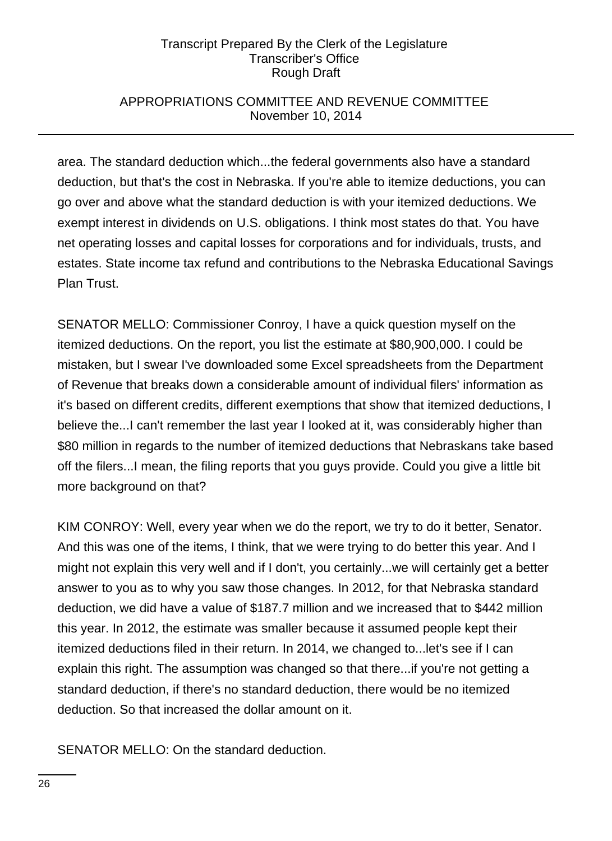## APPROPRIATIONS COMMITTEE AND REVENUE COMMITTEE November 10, 2014

area. The standard deduction which...the federal governments also have a standard deduction, but that's the cost in Nebraska. If you're able to itemize deductions, you can go over and above what the standard deduction is with your itemized deductions. We exempt interest in dividends on U.S. obligations. I think most states do that. You have net operating losses and capital losses for corporations and for individuals, trusts, and estates. State income tax refund and contributions to the Nebraska Educational Savings Plan Trust.

SENATOR MELLO: Commissioner Conroy, I have a quick question myself on the itemized deductions. On the report, you list the estimate at \$80,900,000. I could be mistaken, but I swear I've downloaded some Excel spreadsheets from the Department of Revenue that breaks down a considerable amount of individual filers' information as it's based on different credits, different exemptions that show that itemized deductions, I believe the...I can't remember the last year I looked at it, was considerably higher than \$80 million in regards to the number of itemized deductions that Nebraskans take based off the filers...I mean, the filing reports that you guys provide. Could you give a little bit more background on that?

KIM CONROY: Well, every year when we do the report, we try to do it better, Senator. And this was one of the items, I think, that we were trying to do better this year. And I might not explain this very well and if I don't, you certainly...we will certainly get a better answer to you as to why you saw those changes. In 2012, for that Nebraska standard deduction, we did have a value of \$187.7 million and we increased that to \$442 million this year. In 2012, the estimate was smaller because it assumed people kept their itemized deductions filed in their return. In 2014, we changed to...let's see if I can explain this right. The assumption was changed so that there...if you're not getting a standard deduction, if there's no standard deduction, there would be no itemized deduction. So that increased the dollar amount on it.

SENATOR MELLO: On the standard deduction.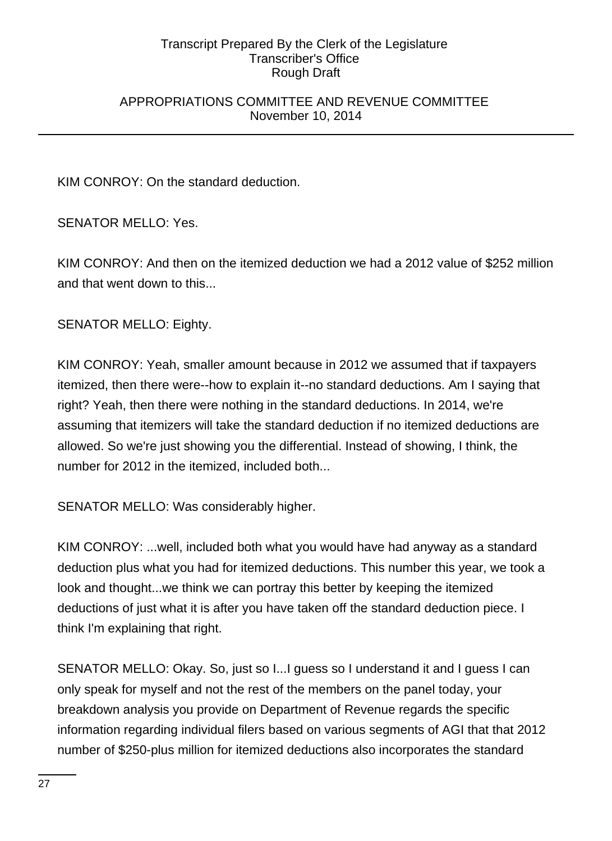## APPROPRIATIONS COMMITTEE AND REVENUE COMMITTEE November 10, 2014

KIM CONROY: On the standard deduction.

SENATOR MELLO: Yes.

KIM CONROY: And then on the itemized deduction we had a 2012 value of \$252 million and that went down to this...

SENATOR MELLO: Eighty.

KIM CONROY: Yeah, smaller amount because in 2012 we assumed that if taxpayers itemized, then there were--how to explain it--no standard deductions. Am I saying that right? Yeah, then there were nothing in the standard deductions. In 2014, we're assuming that itemizers will take the standard deduction if no itemized deductions are allowed. So we're just showing you the differential. Instead of showing, I think, the number for 2012 in the itemized, included both...

SENATOR MELLO: Was considerably higher.

KIM CONROY: ...well, included both what you would have had anyway as a standard deduction plus what you had for itemized deductions. This number this year, we took a look and thought...we think we can portray this better by keeping the itemized deductions of just what it is after you have taken off the standard deduction piece. I think I'm explaining that right.

SENATOR MELLO: Okay. So, just so I...I guess so I understand it and I guess I can only speak for myself and not the rest of the members on the panel today, your breakdown analysis you provide on Department of Revenue regards the specific information regarding individual filers based on various segments of AGI that that 2012 number of \$250-plus million for itemized deductions also incorporates the standard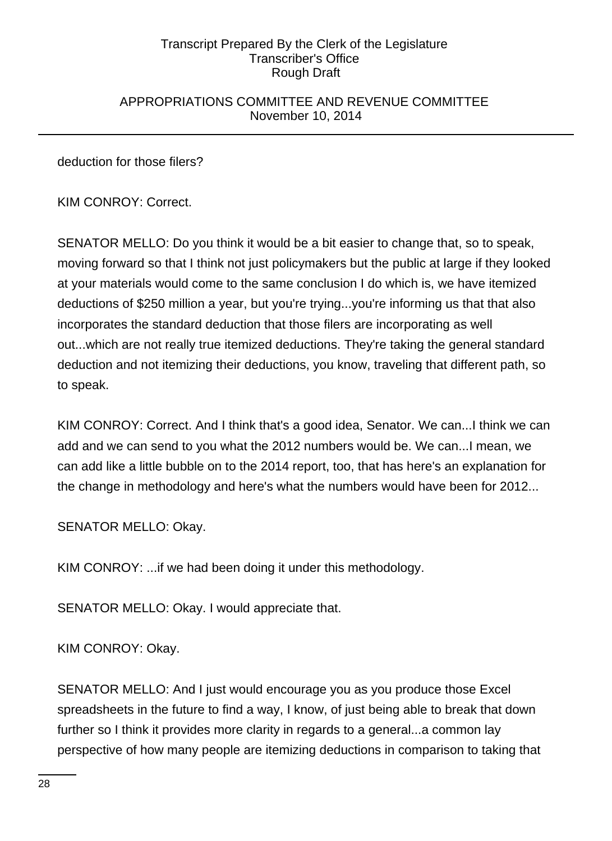## APPROPRIATIONS COMMITTEE AND REVENUE COMMITTEE November 10, 2014

deduction for those filers?

KIM CONROY: Correct.

SENATOR MELLO: Do you think it would be a bit easier to change that, so to speak, moving forward so that I think not just policymakers but the public at large if they looked at your materials would come to the same conclusion I do which is, we have itemized deductions of \$250 million a year, but you're trying...you're informing us that that also incorporates the standard deduction that those filers are incorporating as well out...which are not really true itemized deductions. They're taking the general standard deduction and not itemizing their deductions, you know, traveling that different path, so to speak.

KIM CONROY: Correct. And I think that's a good idea, Senator. We can...I think we can add and we can send to you what the 2012 numbers would be. We can...I mean, we can add like a little bubble on to the 2014 report, too, that has here's an explanation for the change in methodology and here's what the numbers would have been for 2012...

SENATOR MELLO: Okay.

KIM CONROY: ...if we had been doing it under this methodology.

SENATOR MELLO: Okay. I would appreciate that.

KIM CONROY: Okay.

SENATOR MELLO: And I just would encourage you as you produce those Excel spreadsheets in the future to find a way, I know, of just being able to break that down further so I think it provides more clarity in regards to a general...a common lay perspective of how many people are itemizing deductions in comparison to taking that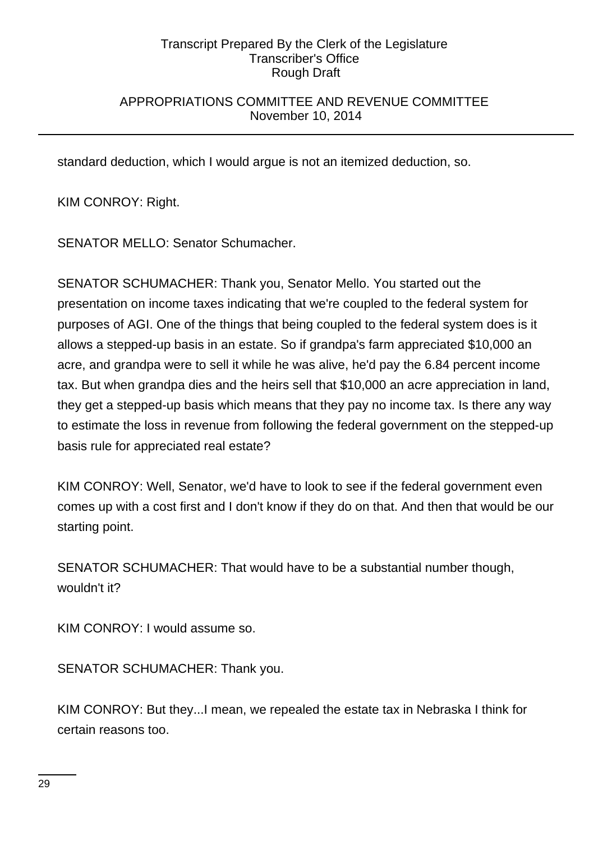## APPROPRIATIONS COMMITTEE AND REVENUE COMMITTEE November 10, 2014

standard deduction, which I would argue is not an itemized deduction, so.

KIM CONROY: Right.

SENATOR MELLO: Senator Schumacher.

SENATOR SCHUMACHER: Thank you, Senator Mello. You started out the presentation on income taxes indicating that we're coupled to the federal system for purposes of AGI. One of the things that being coupled to the federal system does is it allows a stepped-up basis in an estate. So if grandpa's farm appreciated \$10,000 an acre, and grandpa were to sell it while he was alive, he'd pay the 6.84 percent income tax. But when grandpa dies and the heirs sell that \$10,000 an acre appreciation in land, they get a stepped-up basis which means that they pay no income tax. Is there any way to estimate the loss in revenue from following the federal government on the stepped-up basis rule for appreciated real estate?

KIM CONROY: Well, Senator, we'd have to look to see if the federal government even comes up with a cost first and I don't know if they do on that. And then that would be our starting point.

SENATOR SCHUMACHER: That would have to be a substantial number though, wouldn't it?

KIM CONROY: I would assume so.

SENATOR SCHUMACHER: Thank you.

KIM CONROY: But they...I mean, we repealed the estate tax in Nebraska I think for certain reasons too.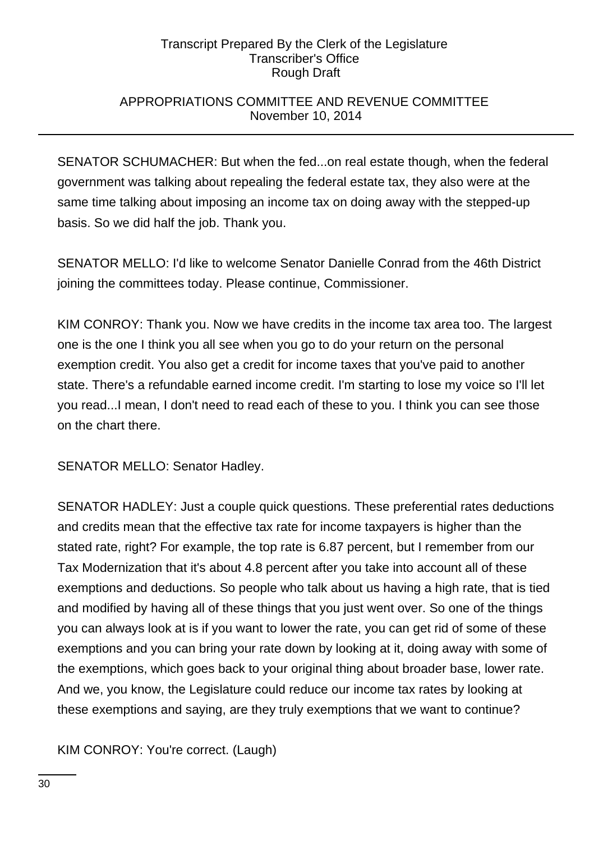## APPROPRIATIONS COMMITTEE AND REVENUE COMMITTEE November 10, 2014

SENATOR SCHUMACHER: But when the fed...on real estate though, when the federal government was talking about repealing the federal estate tax, they also were at the same time talking about imposing an income tax on doing away with the stepped-up basis. So we did half the job. Thank you.

SENATOR MELLO: I'd like to welcome Senator Danielle Conrad from the 46th District joining the committees today. Please continue, Commissioner.

KIM CONROY: Thank you. Now we have credits in the income tax area too. The largest one is the one I think you all see when you go to do your return on the personal exemption credit. You also get a credit for income taxes that you've paid to another state. There's a refundable earned income credit. I'm starting to lose my voice so I'll let you read...I mean, I don't need to read each of these to you. I think you can see those on the chart there.

SENATOR MELLO: Senator Hadley.

SENATOR HADLEY: Just a couple quick questions. These preferential rates deductions and credits mean that the effective tax rate for income taxpayers is higher than the stated rate, right? For example, the top rate is 6.87 percent, but I remember from our Tax Modernization that it's about 4.8 percent after you take into account all of these exemptions and deductions. So people who talk about us having a high rate, that is tied and modified by having all of these things that you just went over. So one of the things you can always look at is if you want to lower the rate, you can get rid of some of these exemptions and you can bring your rate down by looking at it, doing away with some of the exemptions, which goes back to your original thing about broader base, lower rate. And we, you know, the Legislature could reduce our income tax rates by looking at these exemptions and saying, are they truly exemptions that we want to continue?

KIM CONROY: You're correct. (Laugh)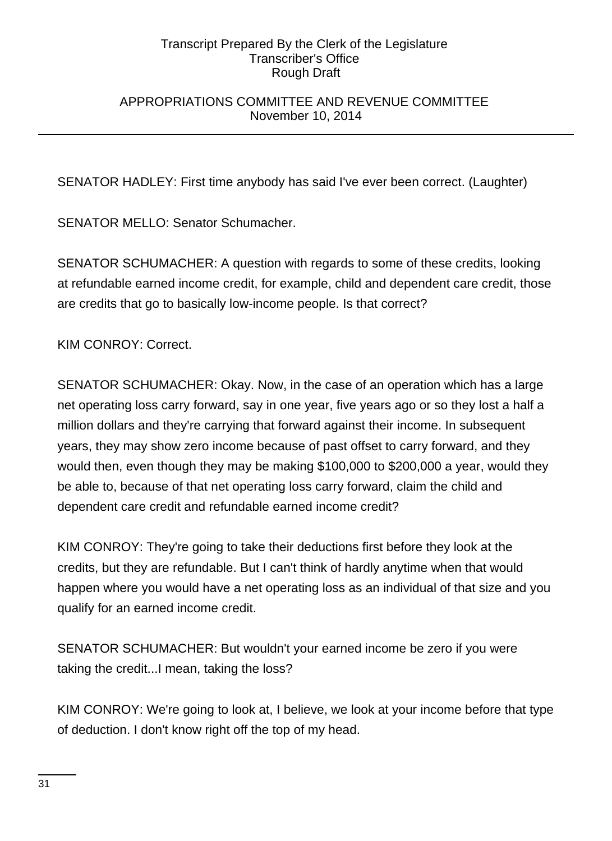## APPROPRIATIONS COMMITTEE AND REVENUE COMMITTEE November 10, 2014

SENATOR HADLEY: First time anybody has said I've ever been correct. (Laughter)

SENATOR MELLO: Senator Schumacher.

SENATOR SCHUMACHER: A question with regards to some of these credits, looking at refundable earned income credit, for example, child and dependent care credit, those are credits that go to basically low-income people. Is that correct?

KIM CONROY: Correct.

SENATOR SCHUMACHER: Okay. Now, in the case of an operation which has a large net operating loss carry forward, say in one year, five years ago or so they lost a half a million dollars and they're carrying that forward against their income. In subsequent years, they may show zero income because of past offset to carry forward, and they would then, even though they may be making \$100,000 to \$200,000 a year, would they be able to, because of that net operating loss carry forward, claim the child and dependent care credit and refundable earned income credit?

KIM CONROY: They're going to take their deductions first before they look at the credits, but they are refundable. But I can't think of hardly anytime when that would happen where you would have a net operating loss as an individual of that size and you qualify for an earned income credit.

SENATOR SCHUMACHER: But wouldn't your earned income be zero if you were taking the credit...I mean, taking the loss?

KIM CONROY: We're going to look at, I believe, we look at your income before that type of deduction. I don't know right off the top of my head.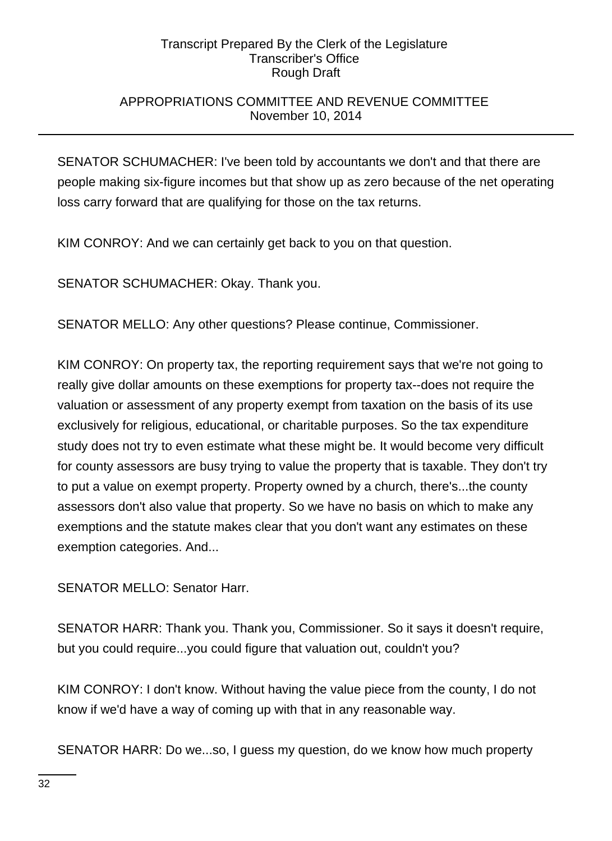## APPROPRIATIONS COMMITTEE AND REVENUE COMMITTEE November 10, 2014

SENATOR SCHUMACHER: I've been told by accountants we don't and that there are people making six-figure incomes but that show up as zero because of the net operating loss carry forward that are qualifying for those on the tax returns.

KIM CONROY: And we can certainly get back to you on that question.

SENATOR SCHUMACHER: Okay. Thank you.

SENATOR MELLO: Any other questions? Please continue, Commissioner.

KIM CONROY: On property tax, the reporting requirement says that we're not going to really give dollar amounts on these exemptions for property tax--does not require the valuation or assessment of any property exempt from taxation on the basis of its use exclusively for religious, educational, or charitable purposes. So the tax expenditure study does not try to even estimate what these might be. It would become very difficult for county assessors are busy trying to value the property that is taxable. They don't try to put a value on exempt property. Property owned by a church, there's...the county assessors don't also value that property. So we have no basis on which to make any exemptions and the statute makes clear that you don't want any estimates on these exemption categories. And...

SENATOR MELLO: Senator Harr.

SENATOR HARR: Thank you. Thank you, Commissioner. So it says it doesn't require, but you could require...you could figure that valuation out, couldn't you?

KIM CONROY: I don't know. Without having the value piece from the county, I do not know if we'd have a way of coming up with that in any reasonable way.

SENATOR HARR: Do we...so, I guess my question, do we know how much property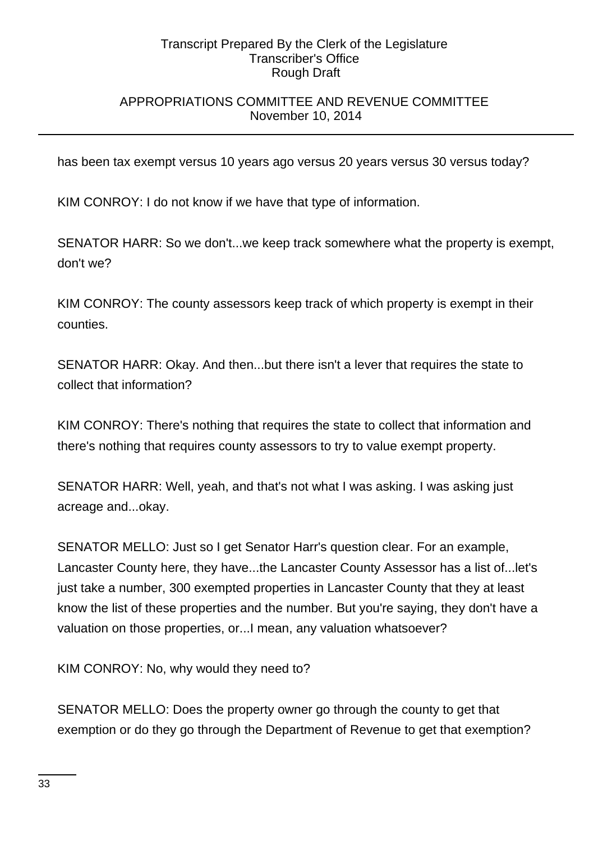## APPROPRIATIONS COMMITTEE AND REVENUE COMMITTEE November 10, 2014

has been tax exempt versus 10 years ago versus 20 years versus 30 versus today?

KIM CONROY: I do not know if we have that type of information.

SENATOR HARR: So we don't...we keep track somewhere what the property is exempt, don't we?

KIM CONROY: The county assessors keep track of which property is exempt in their counties.

SENATOR HARR: Okay. And then...but there isn't a lever that requires the state to collect that information?

KIM CONROY: There's nothing that requires the state to collect that information and there's nothing that requires county assessors to try to value exempt property.

SENATOR HARR: Well, yeah, and that's not what I was asking. I was asking just acreage and...okay.

SENATOR MELLO: Just so I get Senator Harr's question clear. For an example, Lancaster County here, they have...the Lancaster County Assessor has a list of...let's just take a number, 300 exempted properties in Lancaster County that they at least know the list of these properties and the number. But you're saying, they don't have a valuation on those properties, or...I mean, any valuation whatsoever?

KIM CONROY: No, why would they need to?

SENATOR MELLO: Does the property owner go through the county to get that exemption or do they go through the Department of Revenue to get that exemption?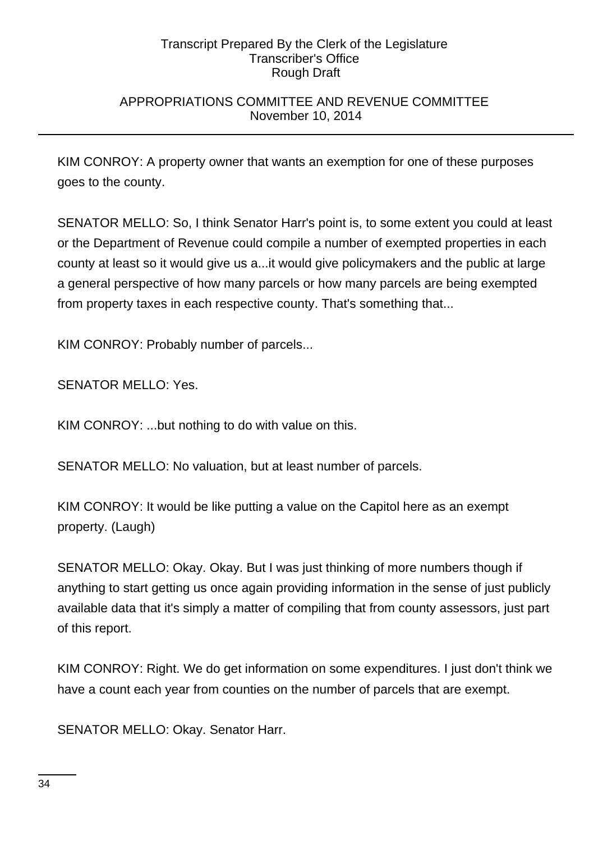## APPROPRIATIONS COMMITTEE AND REVENUE COMMITTEE November 10, 2014

KIM CONROY: A property owner that wants an exemption for one of these purposes goes to the county.

SENATOR MELLO: So, I think Senator Harr's point is, to some extent you could at least or the Department of Revenue could compile a number of exempted properties in each county at least so it would give us a...it would give policymakers and the public at large a general perspective of how many parcels or how many parcels are being exempted from property taxes in each respective county. That's something that...

KIM CONROY: Probably number of parcels...

SENATOR MELLO: Yes.

KIM CONROY: ...but nothing to do with value on this.

SENATOR MELLO: No valuation, but at least number of parcels.

KIM CONROY: It would be like putting a value on the Capitol here as an exempt property. (Laugh)

SENATOR MELLO: Okay. Okay. But I was just thinking of more numbers though if anything to start getting us once again providing information in the sense of just publicly available data that it's simply a matter of compiling that from county assessors, just part of this report.

KIM CONROY: Right. We do get information on some expenditures. I just don't think we have a count each year from counties on the number of parcels that are exempt.

SENATOR MELLO: Okay. Senator Harr.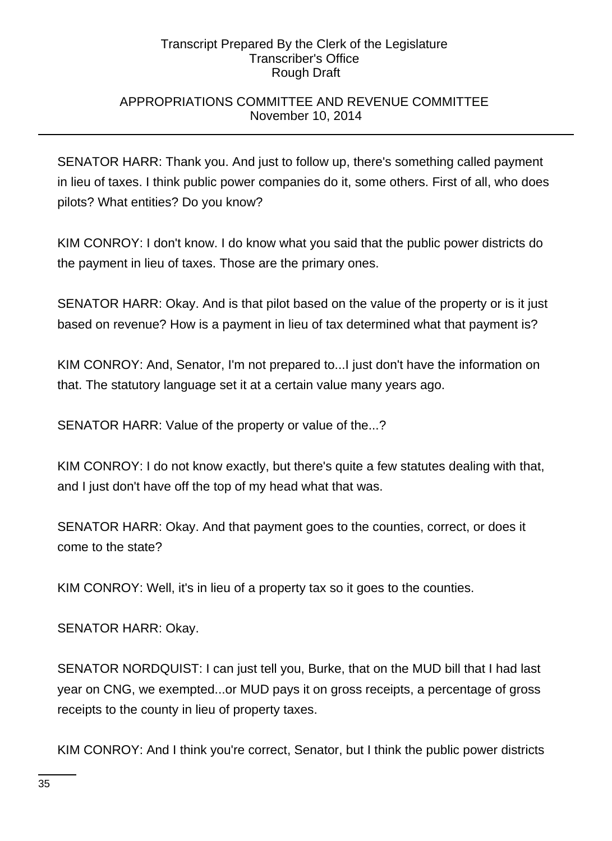## APPROPRIATIONS COMMITTEE AND REVENUE COMMITTEE November 10, 2014

SENATOR HARR: Thank you. And just to follow up, there's something called payment in lieu of taxes. I think public power companies do it, some others. First of all, who does pilots? What entities? Do you know?

KIM CONROY: I don't know. I do know what you said that the public power districts do the payment in lieu of taxes. Those are the primary ones.

SENATOR HARR: Okay. And is that pilot based on the value of the property or is it just based on revenue? How is a payment in lieu of tax determined what that payment is?

KIM CONROY: And, Senator, I'm not prepared to...I just don't have the information on that. The statutory language set it at a certain value many years ago.

SENATOR HARR: Value of the property or value of the...?

KIM CONROY: I do not know exactly, but there's quite a few statutes dealing with that, and I just don't have off the top of my head what that was.

SENATOR HARR: Okay. And that payment goes to the counties, correct, or does it come to the state?

KIM CONROY: Well, it's in lieu of a property tax so it goes to the counties.

SENATOR HARR: Okay.

SENATOR NORDQUIST: I can just tell you, Burke, that on the MUD bill that I had last year on CNG, we exempted...or MUD pays it on gross receipts, a percentage of gross receipts to the county in lieu of property taxes.

KIM CONROY: And I think you're correct, Senator, but I think the public power districts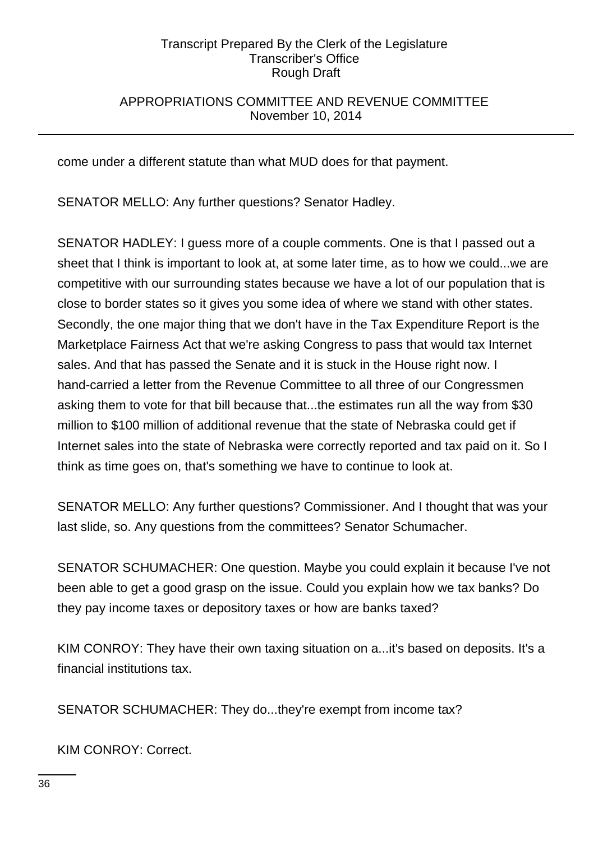## APPROPRIATIONS COMMITTEE AND REVENUE COMMITTEE November 10, 2014

come under a different statute than what MUD does for that payment.

SENATOR MELLO: Any further questions? Senator Hadley.

SENATOR HADLEY: I guess more of a couple comments. One is that I passed out a sheet that I think is important to look at, at some later time, as to how we could...we are competitive with our surrounding states because we have a lot of our population that is close to border states so it gives you some idea of where we stand with other states. Secondly, the one major thing that we don't have in the Tax Expenditure Report is the Marketplace Fairness Act that we're asking Congress to pass that would tax Internet sales. And that has passed the Senate and it is stuck in the House right now. I hand-carried a letter from the Revenue Committee to all three of our Congressmen asking them to vote for that bill because that...the estimates run all the way from \$30 million to \$100 million of additional revenue that the state of Nebraska could get if Internet sales into the state of Nebraska were correctly reported and tax paid on it. So I think as time goes on, that's something we have to continue to look at.

SENATOR MELLO: Any further questions? Commissioner. And I thought that was your last slide, so. Any questions from the committees? Senator Schumacher.

SENATOR SCHUMACHER: One question. Maybe you could explain it because I've not been able to get a good grasp on the issue. Could you explain how we tax banks? Do they pay income taxes or depository taxes or how are banks taxed?

KIM CONROY: They have their own taxing situation on a...it's based on deposits. It's a financial institutions tax.

SENATOR SCHUMACHER: They do...they're exempt from income tax?

KIM CONROY: Correct.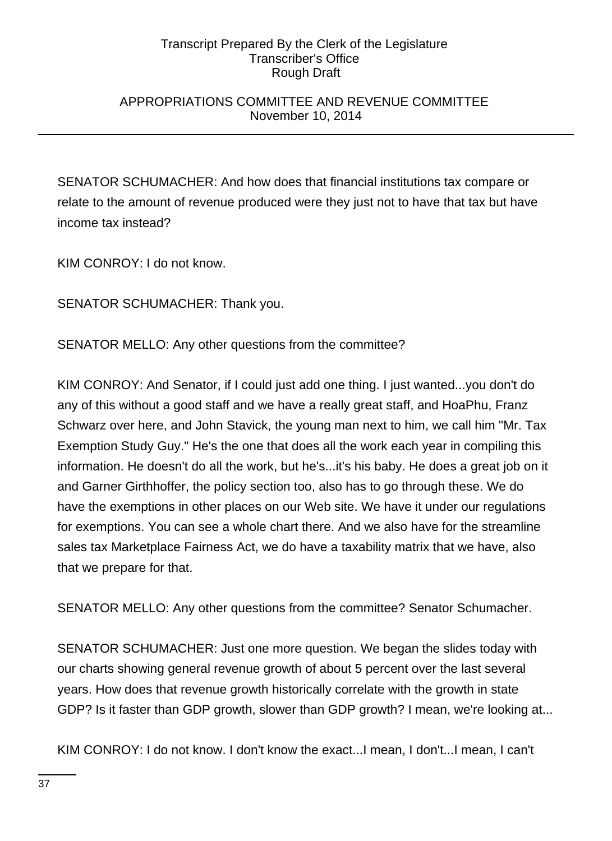## APPROPRIATIONS COMMITTEE AND REVENUE COMMITTEE November 10, 2014

SENATOR SCHUMACHER: And how does that financial institutions tax compare or relate to the amount of revenue produced were they just not to have that tax but have income tax instead?

KIM CONROY: I do not know.

SENATOR SCHUMACHER: Thank you.

SENATOR MELLO: Any other questions from the committee?

KIM CONROY: And Senator, if I could just add one thing. I just wanted...you don't do any of this without a good staff and we have a really great staff, and HoaPhu, Franz Schwarz over here, and John Stavick, the young man next to him, we call him "Mr. Tax Exemption Study Guy." He's the one that does all the work each year in compiling this information. He doesn't do all the work, but he's...it's his baby. He does a great job on it and Garner Girthhoffer, the policy section too, also has to go through these. We do have the exemptions in other places on our Web site. We have it under our regulations for exemptions. You can see a whole chart there. And we also have for the streamline sales tax Marketplace Fairness Act, we do have a taxability matrix that we have, also that we prepare for that.

SENATOR MELLO: Any other questions from the committee? Senator Schumacher.

SENATOR SCHUMACHER: Just one more question. We began the slides today with our charts showing general revenue growth of about 5 percent over the last several years. How does that revenue growth historically correlate with the growth in state GDP? Is it faster than GDP growth, slower than GDP growth? I mean, we're looking at...

KIM CONROY: I do not know. I don't know the exact...I mean, I don't...I mean, I can't